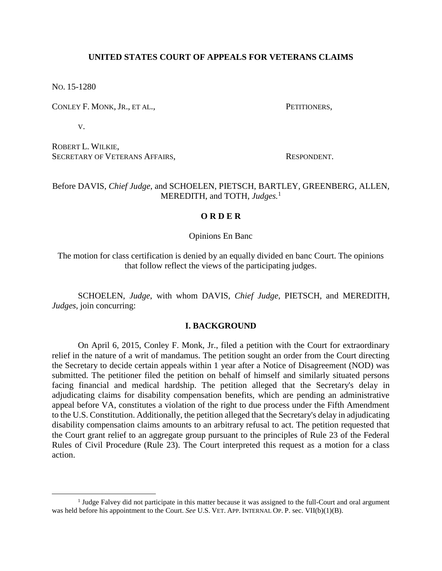# **UNITED STATES COURT OF APPEALS FOR VETERANS CLAIMS**

NO. 15-1280

 $\overline{a}$ 

CONLEY F. MONK, JR., ET AL., PETITIONERS,

V.

ROBERT L. WILKIE, SECRETARY OF VETERANS AFFAIRS. THE RESPONDENT.

# Before DAVIS, *Chief Judge*, and SCHOELEN, PIETSCH, BARTLEY, GREENBERG, ALLEN, MEREDITH, and TOTH, *Judges.* 1

# **O R D E R**

Opinions En Banc

The motion for class certification is denied by an equally divided en banc Court. The opinions that follow reflect the views of the participating judges.

SCHOELEN, *Judge*, with whom DAVIS, *Chief Judge*, PIETSCH, and MEREDITH, *Judges*, join concurring:

## **I. BACKGROUND**

On April 6, 2015, Conley F. Monk, Jr., filed a petition with the Court for extraordinary relief in the nature of a writ of mandamus. The petition sought an order from the Court directing the Secretary to decide certain appeals within 1 year after a Notice of Disagreement (NOD) was submitted. The petitioner filed the petition on behalf of himself and similarly situated persons facing financial and medical hardship. The petition alleged that the Secretary's delay in adjudicating claims for disability compensation benefits, which are pending an administrative appeal before VA, constitutes a violation of the right to due process under the Fifth Amendment to the U.S. Constitution. Additionally, the petition alleged that the Secretary's delay in adjudicating disability compensation claims amounts to an arbitrary refusal to act. The petition requested that the Court grant relief to an aggregate group pursuant to the principles of Rule 23 of the Federal Rules of Civil Procedure (Rule 23). The Court interpreted this request as a motion for a class action.

<sup>&</sup>lt;sup>1</sup> Judge Falvey did not participate in this matter because it was assigned to the full-Court and oral argument was held before his appointment to the Court. *See* U.S. VET. APP. INTERNAL OP. P. sec. VII(b)(1)(B).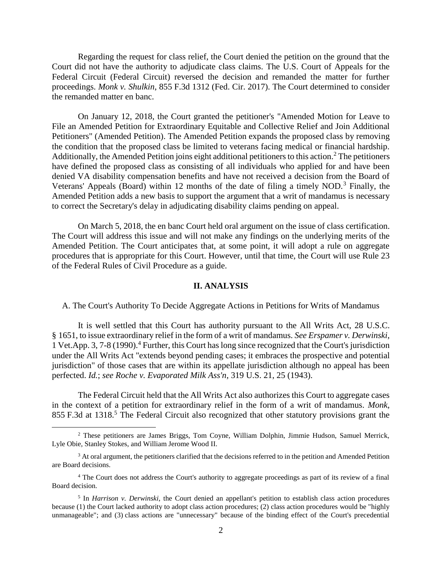Regarding the request for class relief, the Court denied the petition on the ground that the Court did not have the authority to adjudicate class claims. The U.S. Court of Appeals for the Federal Circuit (Federal Circuit) reversed the decision and remanded the matter for further proceedings. *Monk v. Shulkin*, 855 F.3d 1312 (Fed. Cir. 2017). The Court determined to consider the remanded matter en banc.

On January 12, 2018, the Court granted the petitioner's "Amended Motion for Leave to File an Amended Petition for Extraordinary Equitable and Collective Relief and Join Additional Petitioners" (Amended Petition). The Amended Petition expands the proposed class by removing the condition that the proposed class be limited to veterans facing medical or financial hardship. Additionally, the Amended Petition joins eight additional petitioners to this action.<sup>2</sup> The petitioners have defined the proposed class as consisting of all individuals who applied for and have been denied VA disability compensation benefits and have not received a decision from the Board of Veterans' Appeals (Board) within 12 months of the date of filing a timely NOD.<sup>3</sup> Finally, the Amended Petition adds a new basis to support the argument that a writ of mandamus is necessary to correct the Secretary's delay in adjudicating disability claims pending on appeal.

On March 5, 2018, the en banc Court held oral argument on the issue of class certification. The Court will address this issue and will not make any findings on the underlying merits of the Amended Petition. The Court anticipates that, at some point, it will adopt a rule on aggregate procedures that is appropriate for this Court. However, until that time, the Court will use Rule 23 of the Federal Rules of Civil Procedure as a guide.

### **II. ANALYSIS**

A. The Court's Authority To Decide Aggregate Actions in Petitions for Writs of Mandamus

It is well settled that this Court has authority pursuant to the All Writs Act, 28 U.S.C. § 1651, to issue extraordinary relief in the form of a writ of mandamus. *See Erspamer v. Derwinski*, 1 Vet.App. 3, 7-8 (1990).<sup>4</sup> Further, this Court has long since recognized that the Court's jurisdiction under the All Writs Act "extends beyond pending cases; it embraces the prospective and potential jurisdiction" of those cases that are within its appellate jurisdiction although no appeal has been perfected. *Id.*; *see Roche v. Evaporated Milk Ass'n*, 319 U.S. 21, 25 (1943).

The Federal Circuit held that the All Writs Act also authorizes this Court to aggregate cases in the context of a petition for extraordinary relief in the form of a writ of mandamus. *Monk*, 855 F.3d at 1318.<sup>5</sup> The Federal Circuit also recognized that other statutory provisions grant the

<sup>2</sup> These petitioners are James Briggs, Tom Coyne, William Dolphin, Jimmie Hudson, Samuel Merrick, Lyle Obie, Stanley Stokes, and William Jerome Wood II.

 $3$  At oral argument, the petitioners clarified that the decisions referred to in the petition and Amended Petition are Board decisions.

<sup>4</sup> The Court does not address the Court's authority to aggregate proceedings as part of its review of a final Board decision.

<sup>&</sup>lt;sup>5</sup> In *Harrison v. Derwinski*, the Court denied an appellant's petition to establish class action procedures because (1) the Court lacked authority to adopt class action procedures; (2) class action procedures would be "highly unmanageable"; and (3) class actions are "unnecessary" because of the binding effect of the Court's precedential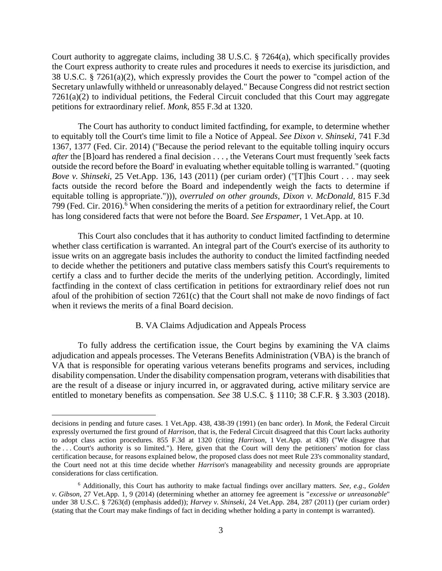Court authority to aggregate claims, including 38 U.S.C. § 7264(a), which specifically provides the Court express authority to create rules and procedures it needs to exercise its jurisdiction, and 38 U.S.C. § 7261(a)(2), which expressly provides the Court the power to "compel action of the Secretary unlawfully withheld or unreasonably delayed." Because Congress did not restrict section 7261(a)(2) to individual petitions, the Federal Circuit concluded that this Court may aggregate petitions for extraordinary relief. *Monk*, 855 F.3d at 1320.

The Court has authority to conduct limited factfinding, for example, to determine whether to equitably toll the Court's time limit to file a Notice of Appeal. *See Dixon v. Shinseki*, 741 F.3d 1367, 1377 (Fed. Cir. 2014) ("Because the period relevant to the equitable tolling inquiry occurs *after* the [B]oard has rendered a final decision . . . , the Veterans Court must frequently 'seek facts outside the record before the Board' in evaluating whether equitable tolling is warranted." (quoting *Bove v. Shinseki*, 25 Vet.App. 136, 143 (2011) (per curiam order) ("[T]his Court . . . may seek facts outside the record before the Board and independently weigh the facts to determine if equitable tolling is appropriate."))), *overruled on other grounds*, *Dixon v. McDonald*, 815 F.3d 799 (Fed. Cir. 2016).<sup>6</sup> When considering the merits of a petition for extraordinary relief, the Court has long considered facts that were not before the Board. *See Erspamer*, 1 Vet.App. at 10.

This Court also concludes that it has authority to conduct limited factfinding to determine whether class certification is warranted. An integral part of the Court's exercise of its authority to issue writs on an aggregate basis includes the authority to conduct the limited factfinding needed to decide whether the petitioners and putative class members satisfy this Court's requirements to certify a class and to further decide the merits of the underlying petition. Accordingly, limited factfinding in the context of class certification in petitions for extraordinary relief does not run afoul of the prohibition of section 7261(c) that the Court shall not make de novo findings of fact when it reviews the merits of a final Board decision.

## B. VA Claims Adjudication and Appeals Process

To fully address the certification issue, the Court begins by examining the VA claims adjudication and appeals processes. The Veterans Benefits Administration (VBA) is the branch of VA that is responsible for operating various veterans benefits programs and services, including disability compensation. Under the disability compensation program, veterans with disabilities that are the result of a disease or injury incurred in, or aggravated during, active military service are entitled to monetary benefits as compensation. *See* 38 U.S.C. § 1110; 38 C.F.R. § 3.303 (2018).

decisions in pending and future cases. 1 Vet.App. 438, 438-39 (1991) (en banc order). In *Monk*, the Federal Circuit expressly overturned the first ground of *Harrison*, that is, the Federal Circuit disagreed that this Court lacks authority to adopt class action procedures. 855 F.3d at 1320 (citing *Harrison*, 1 Vet.App. at 438) ("We disagree that the . . . Court's authority is so limited."). Here, given that the Court will deny the petitioners' motion for class certification because, for reasons explained below, the proposed class does not meet Rule 23's commonality standard, the Court need not at this time decide whether *Harrison*'s manageability and necessity grounds are appropriate considerations for class certification.

<sup>6</sup> Additionally, this Court has authority to make factual findings over ancillary matters. *See, e.g*., *Golden v. Gibson*, 27 Vet.App. 1, 9 (2014) (determining whether an attorney fee agreement is "*excessive or unreasonable*" under 38 U.S.C. § 7263(d) (emphasis added)); *Harvey v. Shinseki*, 24 Vet.App. 284, 287 (2011) (per curiam order) (stating that the Court may make findings of fact in deciding whether holding a party in contempt is warranted).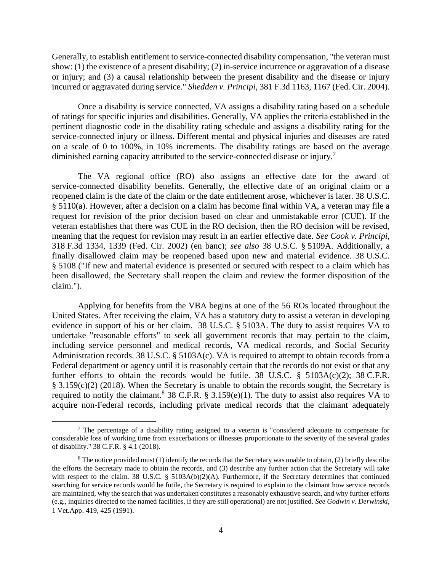Generally, to establish entitlement to service-connected disability compensation, "the veteran must show: (1) the existence of a present disability; (2) in-service incurrence or aggravation of a disease or injury; and (3) a causal relationship between the present disability and the disease or injury incurred or aggravated during service." *Shedden v. Principi*, 381 F.3d 1163, 1167 (Fed. Cir. 2004).

Once a disability is service connected, VA assigns a disability rating based on a schedule of ratings for specific injuries and disabilities. Generally, VA applies the criteria established in the pertinent diagnostic code in the disability rating schedule and assigns a disability rating for the service-connected injury or illness. Different mental and physical injuries and diseases are rated on a scale of 0 to 100%, in 10% increments. The disability ratings are based on the average diminished earning capacity attributed to the service-connected disease or injury.<sup>7</sup>

The VA regional office (RO) also assigns an effective date for the award of service-connected disability benefits. Generally, the effective date of an original claim or a reopened claim is the date of the claim or the date entitlement arose, whichever is later. 38 U.S.C. § 5110(a). However, after a decision on a claim has become final within VA, a veteran may file a request for revision of the prior decision based on clear and unmistakable error (CUE). If the veteran establishes that there was CUE in the RO decision, then the RO decision will be revised, meaning that the request for revision may result in an earlier effective date. *See Cook v. Principi*, 318 F.3d 1334, 1339 (Fed. Cir. 2002) (en banc); *see also* 38 U.S.C. § 5109A. Additionally, a finally disallowed claim may be reopened based upon new and material evidence. 38 U.S.C. § 5108 ("If new and material evidence is presented or secured with respect to a claim which has been disallowed, the Secretary shall reopen the claim and review the former disposition of the claim.").

Applying for benefits from the VBA begins at one of the 56 ROs located throughout the United States. After receiving the claim, VA has a statutory duty to assist a veteran in developing evidence in support of his or her claim. 38 U.S.C. § 5103A. The duty to assist requires VA to undertake "reasonable efforts" to seek all government records that may pertain to the claim, including service personnel and medical records, VA medical records, and Social Security Administration records. 38 U.S.C. § 5103A(c). VA is required to attempt to obtain records from a Federal department or agency until it is reasonably certain that the records do not exist or that any further efforts to obtain the records would be futile. 38 U.S.C.  $\S$  5103A(c)(2); 38 C.F.R. § 3.159(c)(2) (2018). When the Secretary is unable to obtain the records sought, the Secretary is required to notify the claimant.<sup>8</sup> 38 C.F.R. § 3.159 $(e)(1)$ . The duty to assist also requires VA to acquire non-Federal records, including private medical records that the claimant adequately

<sup>7</sup> The percentage of a disability rating assigned to a veteran is "considered adequate to compensate for considerable loss of working time from exacerbations or illnesses proportionate to the severity of the several grades of disability." 38 C.F.R. § 4.1 (2018).

 $8$  The notice provided must (1) identify the records that the Secretary was unable to obtain, (2) briefly describe the efforts the Secretary made to obtain the records, and (3) describe any further action that the Secretary will take with respect to the claim. 38 U.S.C. § 5103A(b)(2)(A). Furthermore, if the Secretary determines that continued searching for service records would be futile, the Secretary is required to explain to the claimant how service records are maintained, why the search that was undertaken constitutes a reasonably exhaustive search, and why further efforts (e.g., inquiries directed to the named facilities, if they are still operational) are not justified. *See Godwin v. Derwinski*, 1 Vet.App. 419, 425 (1991).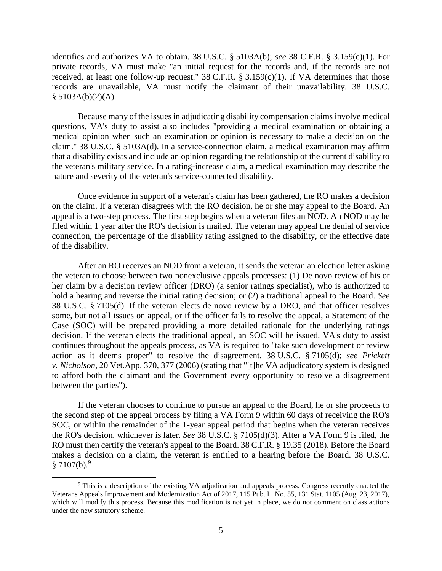identifies and authorizes VA to obtain. 38 U.S.C. § 5103A(b); *see* 38 C.F.R. § 3.159(c)(1). For private records, VA must make "an initial request for the records and, if the records are not received, at least one follow-up request." 38 C.F.R. § 3.159(c)(1). If VA determines that those records are unavailable, VA must notify the claimant of their unavailability. 38 U.S.C.  $§ 5103A(b)(2)(A).$ 

Because many of the issues in adjudicating disability compensation claims involve medical questions, VA's duty to assist also includes "providing a medical examination or obtaining a medical opinion when such an examination or opinion is necessary to make a decision on the claim." 38 U.S.C. § 5103A(d). In a service-connection claim, a medical examination may affirm that a disability exists and include an opinion regarding the relationship of the current disability to the veteran's military service. In a rating-increase claim, a medical examination may describe the nature and severity of the veteran's service-connected disability.

Once evidence in support of a veteran's claim has been gathered, the RO makes a decision on the claim. If a veteran disagrees with the RO decision, he or she may appeal to the Board. An appeal is a two-step process. The first step begins when a veteran files an NOD. An NOD may be filed within 1 year after the RO's decision is mailed. The veteran may appeal the denial of service connection, the percentage of the disability rating assigned to the disability, or the effective date of the disability.

After an RO receives an NOD from a veteran, it sends the veteran an election letter asking the veteran to choose between two nonexclusive appeals processes: (1) De novo review of his or her claim by a decision review officer (DRO) (a senior ratings specialist), who is authorized to hold a hearing and reverse the initial rating decision; or (2) a traditional appeal to the Board. *See* 38 U.S.C. § 7105(d). If the veteran elects de novo review by a DRO, and that officer resolves some, but not all issues on appeal, or if the officer fails to resolve the appeal, a Statement of the Case (SOC) will be prepared providing a more detailed rationale for the underlying ratings decision. If the veteran elects the traditional appeal, an SOC will be issued. VA's duty to assist continues throughout the appeals process, as VA is required to "take such development or review action as it deems proper" to resolve the disagreement. 38 U.S.C. § 7105(d); *see Prickett v. Nicholson*, 20 Vet.App. 370, 377 (2006) (stating that "[t]he VA adjudicatory system is designed to afford both the claimant and the Government every opportunity to resolve a disagreement between the parties").

If the veteran chooses to continue to pursue an appeal to the Board, he or she proceeds to the second step of the appeal process by filing a VA Form 9 within 60 days of receiving the RO's SOC, or within the remainder of the 1-year appeal period that begins when the veteran receives the RO's decision, whichever is later. *See* 38 U.S.C. § 7105(d)(3). After a VA Form 9 is filed, the RO must then certify the veteran's appeal to the Board. 38 C.F.R. § 19.35 (2018). Before the Board makes a decision on a claim, the veteran is entitled to a hearing before the Board. 38 U.S.C.  $§ 7107(b).<sup>9</sup>$ 

<sup>9</sup> This is a description of the existing VA adjudication and appeals process. Congress recently enacted the Veterans Appeals Improvement and Modernization Act of 2017, 115 Pub. L. No. 55, 131 Stat. 1105 (Aug. 23, 2017), which will modify this process. Because this modification is not yet in place, we do not comment on class actions under the new statutory scheme.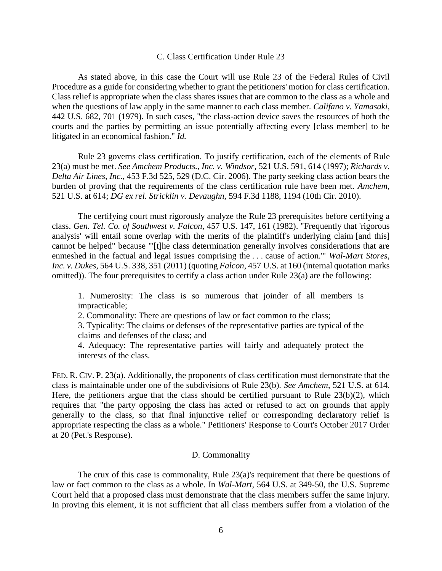### C. Class Certification Under Rule 23

As stated above, in this case the Court will use Rule 23 of the Federal Rules of Civil Procedure as a guide for considering whether to grant the petitioners' motion for class certification. Class relief is appropriate when the class shares issues that are common to the class as a whole and when the questions of law apply in the same manner to each class member. *Califano v. Yamasaki*, 442 U.S. 682, 701 (1979). In such cases, "the class-action device saves the resources of both the courts and the parties by permitting an issue potentially affecting every [class member] to be litigated in an economical fashion." *Id.*

Rule 23 governs class certification. To justify certification, each of the elements of Rule 23(a) must be met. *See Amchem Products., Inc. v. Windsor*, 521 U.S. 591, 614 (1997); *Richards v. Delta Air Lines, Inc*., 453 F.3d 525, 529 (D.C. Cir. 2006). The party seeking class action bears the burden of proving that the requirements of the class certification rule have been met. *Amchem*, 521 U.S. at 614; *DG ex rel. Stricklin v. Devaughn*, 594 F.3d 1188, 1194 (10th Cir. 2010).

The certifying court must rigorously analyze the Rule 23 prerequisites before certifying a class. *Gen. Tel. Co. of Southwest v. Falcon*, 457 U.S. 147, 161 (1982). "Frequently that 'rigorous analysis' will entail some overlap with the merits of the plaintiff's underlying claim [and this] cannot be helped" because "'[t]he class determination generally involves considerations that are enmeshed in the factual and legal issues comprising the . . . cause of action.'" *Wal-Mart Stores, Inc. v. Dukes*, 564 U.S. 338, 351 (2011) (quoting *Falcon*, 457 U.S. at 160 (internal quotation marks omitted)). The four prerequisites to certify a class action under Rule 23(a) are the following:

1. Numerosity: The class is so numerous that joinder of all members is impracticable;

2. Commonality: There are questions of law or fact common to the class;

3. Typicality: The claims or defenses of the representative parties are typical of the claims and defenses of the class; and

4. Adequacy: The representative parties will fairly and adequately protect the interests of the class.

FED. R. CIV. P. 23(a). Additionally, the proponents of class certification must demonstrate that the class is maintainable under one of the subdivisions of Rule 23(b). *See Amchem*, 521 U.S. at 614. Here, the petitioners argue that the class should be certified pursuant to Rule 23(b)(2), which requires that "the party opposing the class has acted or refused to act on grounds that apply generally to the class, so that final injunctive relief or corresponding declaratory relief is appropriate respecting the class as a whole." Petitioners' Response to Court's October 2017 Order at 20 (Pet.'s Response).

#### D. Commonality

The crux of this case is commonality, Rule 23(a)'s requirement that there be questions of law or fact common to the class as a whole. In *Wal-Mart*, 564 U.S. at 349-50, the U.S. Supreme Court held that a proposed class must demonstrate that the class members suffer the same injury. In proving this element, it is not sufficient that all class members suffer from a violation of the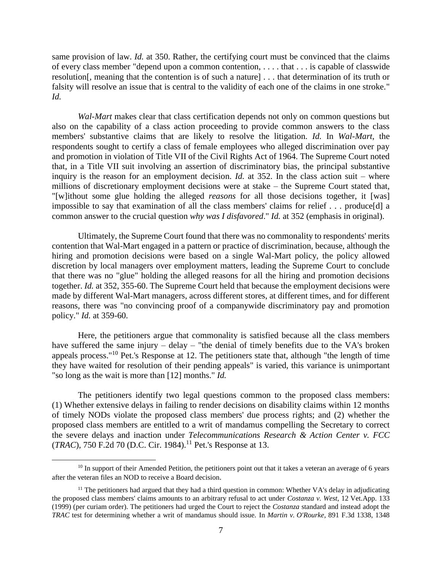same provision of law. *Id.* at 350. Rather, the certifying court must be convinced that the claims of every class member "depend upon a common contention, . . . . that . . . is capable of classwide resolution[, meaning that the contention is of such a nature] . . . that determination of its truth or falsity will resolve an issue that is central to the validity of each one of the claims in one stroke." *Id.*

*Wal-Mart* makes clear that class certification depends not only on common questions but also on the capability of a class action proceeding to provide common answers to the class members' substantive claims that are likely to resolve the litigation. *Id.* In *Wal-Mart*, the respondents sought to certify a class of female employees who alleged discrimination over pay and promotion in violation of Title VII of the Civil Rights Act of 1964. The Supreme Court noted that, in a Title VII suit involving an assertion of discriminatory bias, the principal substantive inquiry is the reason for an employment decision. *Id.* at 352. In the class action suit – where millions of discretionary employment decisions were at stake – the Supreme Court stated that, "[w]ithout some glue holding the alleged *reasons* for all those decisions together, it [was] impossible to say that examination of all the class members' claims for relief . . . produce[d] a common answer to the crucial question *why was I disfavored*." *Id.* at 352 (emphasis in original).

Ultimately, the Supreme Court found that there was no commonality to respondents' merits contention that Wal-Mart engaged in a pattern or practice of discrimination, because, although the hiring and promotion decisions were based on a single Wal-Mart policy, the policy allowed discretion by local managers over employment matters, leading the Supreme Court to conclude that there was no "glue" holding the alleged reasons for all the hiring and promotion decisions together. *Id.* at 352, 355-60. The Supreme Court held that because the employment decisions were made by different Wal-Mart managers, across different stores, at different times, and for different reasons, there was "no convincing proof of a companywide discriminatory pay and promotion policy." *Id.* at 359-60.

Here, the petitioners argue that commonality is satisfied because all the class members have suffered the same injury – delay – "the denial of timely benefits due to the VA's broken appeals process."<sup>10</sup> Pet.'s Response at 12. The petitioners state that, although "the length of time they have waited for resolution of their pending appeals" is varied, this variance is unimportant "so long as the wait is more than [12] months." *Id.*

The petitioners identify two legal questions common to the proposed class members: (1) Whether extensive delays in failing to render decisions on disability claims within 12 months of timely NODs violate the proposed class members' due process rights; and (2) whether the proposed class members are entitled to a writ of mandamus compelling the Secretary to correct the severe delays and inaction under *Telecommunications Research & Action Center v. FCC* (*TRAC*), 750 F.2d 70 (D.C. Cir. 1984).<sup>11</sup> Pet.'s Response at 13.

<sup>&</sup>lt;sup>10</sup> In support of their Amended Petition, the petitioners point out that it takes a veteran an average of 6 years after the veteran files an NOD to receive a Board decision.

<sup>&</sup>lt;sup>11</sup> The petitioners had argued that they had a third question in common: Whether VA's delay in adjudicating the proposed class members' claims amounts to an arbitrary refusal to act under *Costanza v. West*, 12 Vet.App. 133 (1999) (per curiam order). The petitioners had urged the Court to reject the *Costanza* standard and instead adopt the *TRAC* test for determining whether a writ of mandamus should issue. In *Martin v. O'Rourke*, 891 F.3d 1338, 1348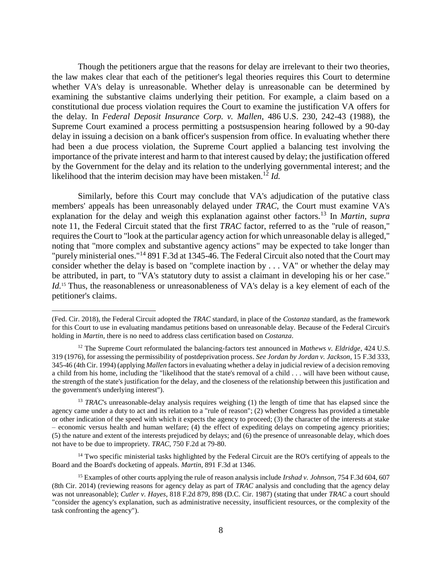Though the petitioners argue that the reasons for delay are irrelevant to their two theories, the law makes clear that each of the petitioner's legal theories requires this Court to determine whether VA's delay is unreasonable. Whether delay is unreasonable can be determined by examining the substantive claims underlying their petition. For example, a claim based on a constitutional due process violation requires the Court to examine the justification VA offers for the delay. In *Federal Deposit Insurance Corp. v. Mallen*, 486 U.S. 230, 242-43 (1988), the Supreme Court examined a process permitting a postsuspension hearing followed by a 90-day delay in issuing a decision on a bank officer's suspension from office. In evaluating whether there had been a due process violation, the Supreme Court applied a balancing test involving the importance of the private interest and harm to that interest caused by delay; the justification offered by the Government for the delay and its relation to the underlying governmental interest; and the likelihood that the interim decision may have been mistaken.<sup>12</sup> *Id.* 

Similarly, before this Court may conclude that VA's adjudication of the putative class members' appeals has been unreasonably delayed under *TRAC*, the Court must examine VA's explanation for the delay and weigh this explanation against other factors.<sup>13</sup> In *Martin*, *supra* note 11, the Federal Circuit stated that the first *TRAC* factor, referred to as the "rule of reason," requires the Court to "look at the particular agency action for which unreasonable delay is alleged," noting that "more complex and substantive agency actions" may be expected to take longer than "purely ministerial ones."<sup>14</sup> 891 F.3d at 1345-46. The Federal Circuit also noted that the Court may consider whether the delay is based on "complete inaction by . . . VA" or whether the delay may be attributed, in part, to "VA's statutory duty to assist a claimant in developing his or her case." Id.<sup>15</sup> Thus, the reasonableness or unreasonableness of VA's delay is a key element of each of the petitioner's claims.

<sup>(</sup>Fed. Cir. 2018), the Federal Circuit adopted the *TRAC* standard, in place of the *Costanza* standard, as the framework for this Court to use in evaluating mandamus petitions based on unreasonable delay. Because of the Federal Circuit's holding in *Martin*, there is no need to address class certification based on *Costanza*.

<sup>12</sup> The Supreme Court reformulated the balancing-factors test announced in *Mathews v. Eldridge*, 424 U.S. 319 (1976), for assessing the permissibility of postdeprivation process. *See Jordan by Jordan v. Jackson*, 15 F.3d 333, 345-46 (4th Cir. 1994) (applying *Mallen* factors in evaluating whether a delay in judicial review of a decision removing a child from his home, including the "likelihood that the state's removal of a child . . . will have been without cause, the strength of the state's justification for the delay, and the closeness of the relationship between this justification and the government's underlying interest").

<sup>&</sup>lt;sup>13</sup> *TRAC*'s unreasonable-delay analysis requires weighing (1) the length of time that has elapsed since the agency came under a duty to act and its relation to a "rule of reason"; (2) whether Congress has provided a timetable or other indication of the speed with which it expects the agency to proceed; (3) the character of the interests at stake – economic versus health and human welfare; (4) the effect of expediting delays on competing agency priorities; (5) the nature and extent of the interests prejudiced by delays; and (6) the presence of unreasonable delay, which does not have to be due to impropriety. *TRAC*, 750 F.2d at 79-80.

<sup>&</sup>lt;sup>14</sup> Two specific ministerial tasks highlighted by the Federal Circuit are the RO's certifying of appeals to the Board and the Board's docketing of appeals. *Martin*, 891 F.3d at 1346.

<sup>15</sup> Examples of other courts applying the rule of reason analysis include *Irshad v. Johnson*, 754 F.3d 604, 607 (8th Cir. 2014) (reviewing reasons for agency delay as part of *TRAC* analysis and concluding that the agency delay was not unreasonable); *Cutler v. Hayes*, 818 F.2d 879, 898 (D.C. Cir. 1987) (stating that under *TRAC* a court should "consider the agency's explanation, such as administrative necessity, insufficient resources, or the complexity of the task confronting the agency").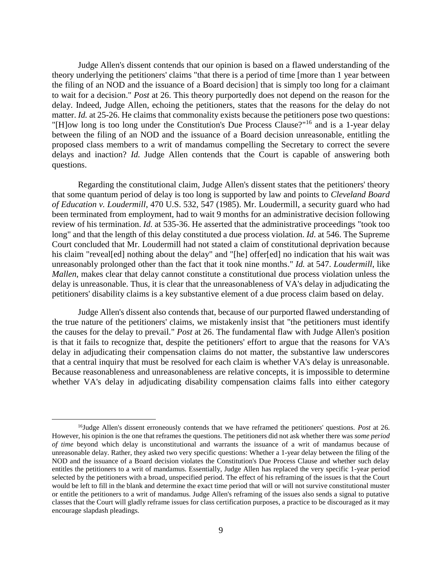Judge Allen's dissent contends that our opinion is based on a flawed understanding of the theory underlying the petitioners' claims "that there is a period of time [more than 1 year between the filing of an NOD and the issuance of a Board decision] that is simply too long for a claimant to wait for a decision." *Post* at 26. This theory purportedly does not depend on the reason for the delay. Indeed, Judge Allen, echoing the petitioners, states that the reasons for the delay do not matter. *Id.* at 25-26. He claims that commonality exists because the petitioners pose two questions: "[H]ow long is too long under the Constitution's Due Process Clause?"<sup>16</sup> and is a 1-year delay between the filing of an NOD and the issuance of a Board decision unreasonable, entitling the proposed class members to a writ of mandamus compelling the Secretary to correct the severe delays and inaction? *Id.* Judge Allen contends that the Court is capable of answering both questions.

Regarding the constitutional claim, Judge Allen's dissent states that the petitioners' theory that some quantum period of delay is too long is supported by law and points to *Cleveland Board of Education v. Loudermill*, 470 U.S. 532, 547 (1985). Mr. Loudermill, a security guard who had been terminated from employment, had to wait 9 months for an administrative decision following review of his termination. *Id.* at 535-36. He asserted that the administrative proceedings "took too long" and that the length of this delay constituted a due process violation. *Id.* at 546. The Supreme Court concluded that Mr. Loudermill had not stated a claim of constitutional deprivation because his claim "reveal[ed] nothing about the delay" and "[he] offer[ed] no indication that his wait was unreasonably prolonged other than the fact that it took nine months." *Id.* at 547. *Loudermill*, like *Mallen*, makes clear that delay cannot constitute a constitutional due process violation unless the delay is unreasonable. Thus, it is clear that the unreasonableness of VA's delay in adjudicating the petitioners' disability claims is a key substantive element of a due process claim based on delay.

Judge Allen's dissent also contends that, because of our purported flawed understanding of the true nature of the petitioners' claims, we mistakenly insist that "the petitioners must identify the causes for the delay to prevail." *Post* at 26. The fundamental flaw with Judge Allen's position is that it fails to recognize that, despite the petitioners' effort to argue that the reasons for VA's delay in adjudicating their compensation claims do not matter, the substantive law underscores that a central inquiry that must be resolved for each claim is whether VA's delay is unreasonable. Because reasonableness and unreasonableness are relative concepts, it is impossible to determine whether VA's delay in adjudicating disability compensation claims falls into either category

<sup>16</sup>Judge Allen's dissent erroneously contends that we have reframed the petitioners' questions. *Post* at 26. However, his opinion is the one that reframes the questions. The petitioners did not ask whether there was *some period of time* beyond which delay is unconstitutional and warrants the issuance of a writ of mandamus because of unreasonable delay. Rather, they asked two very specific questions: Whether a 1-year delay between the filing of the NOD and the issuance of a Board decision violates the Constitution's Due Process Clause and whether such delay entitles the petitioners to a writ of mandamus. Essentially, Judge Allen has replaced the very specific 1-year period selected by the petitioners with a broad, unspecified period. The effect of his reframing of the issues is that the Court would be left to fill in the blank and determine the exact time period that will or will not survive constitutional muster or entitle the petitioners to a writ of mandamus. Judge Allen's reframing of the issues also sends a signal to putative classes that the Court will gladly reframe issues for class certification purposes, a practice to be discouraged as it may encourage slapdash pleadings.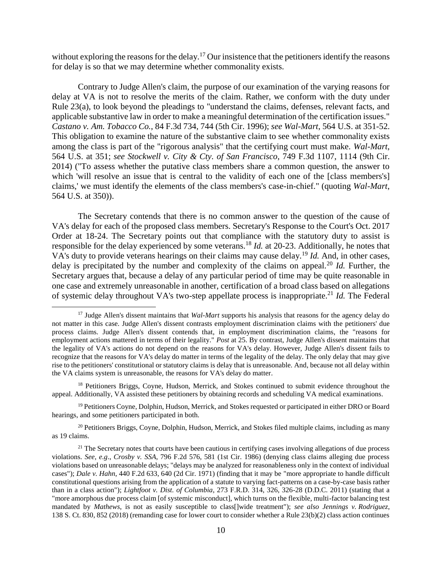without exploring the reasons for the delay.<sup>17</sup> Our insistence that the petitioners identify the reasons for delay is so that we may determine whether commonality exists.

Contrary to Judge Allen's claim, the purpose of our examination of the varying reasons for delay at VA is not to resolve the merits of the claim. Rather, we conform with the duty under Rule 23(a), to look beyond the pleadings to "understand the claims, defenses, relevant facts, and applicable substantive law in order to make a meaningful determination of the certification issues." *Castano v. Am. Tobacco Co.*, 84 F.3d 734, 744 (5th Cir. 1996); *see Wal-Mart*, 564 U.S. at 351-52. This obligation to examine the nature of the substantive claim to see whether commonality exists among the class is part of the "rigorous analysis" that the certifying court must make. *Wal-Mart*, 564 U.S. at 351; *see Stockwell v. City & Cty. of San Francisco*, 749 F.3d 1107, 1114 (9th Cir. 2014) ("To assess whether the putative class members share a common question, the answer to which 'will resolve an issue that is central to the validity of each one of the [class members's] claims,' we must identify the elements of the class members's case-in-chief." (quoting *Wal-Mart*, 564 U.S. at 350)).

The Secretary contends that there is no common answer to the question of the cause of VA's delay for each of the proposed class members. Secretary's Response to the Court's Oct. 2017 Order at 18-24. The Secretary points out that compliance with the statutory duty to assist is responsible for the delay experienced by some veterans.<sup>18</sup> *Id.* at 20-23. Additionally, he notes that VA's duty to provide veterans hearings on their claims may cause delay.<sup>19</sup> *Id.* And, in other cases, delay is precipitated by the number and complexity of the claims on appeal.<sup>20</sup> *Id.* Further, the Secretary argues that, because a delay of any particular period of time may be quite reasonable in one case and extremely unreasonable in another, certification of a broad class based on allegations of systemic delay throughout VA's two-step appellate process is inappropriate.<sup>21</sup> *Id.* The Federal

 $\overline{a}$ 

<sup>20</sup> Petitioners Briggs, Coyne, Dolphin, Hudson, Merrick, and Stokes filed multiple claims, including as many as 19 claims.

<sup>17</sup> Judge Allen's dissent maintains that *Wal-Mart* supports his analysis that reasons for the agency delay do not matter in this case. Judge Allen's dissent contrasts employment discrimination claims with the petitioners' due process claims. Judge Allen's dissent contends that, in employment discrimination claims, the "reasons for employment actions mattered in terms of their legality." *Post* at 25. By contrast, Judge Allen's dissent maintains that the legality of VA's actions do not depend on the reasons for VA's delay. However, Judge Allen's dissent fails to recognize that the reasons for VA's delay do matter in terms of the legality of the delay. The only delay that may give rise to the petitioners' constitutional or statutory claims is delay that is unreasonable. And, because not all delay within the VA claims system is unreasonable, the reasons for VA's delay do matter.

<sup>&</sup>lt;sup>18</sup> Petitioners Briggs, Coyne, Hudson, Merrick, and Stokes continued to submit evidence throughout the appeal. Additionally, VA assisted these petitioners by obtaining records and scheduling VA medical examinations.

<sup>&</sup>lt;sup>19</sup> Petitioners Coyne, Dolphin, Hudson, Merrick, and Stokes requested or participated in either DRO or Board hearings, and some petitioners participated in both.

<sup>&</sup>lt;sup>21</sup> The Secretary notes that courts have been cautious in certifying cases involving allegations of due process violations. *See, e.g*., *Crosby v. SSA*, 796 F.2d 576, 581 (1st Cir. 1986) (denying class claims alleging due process violations based on unreasonable delays; "delays may be analyzed for reasonableness only in the context of individual cases"); *Dale v. Hahn*, 440 F.2d 633, 640 (2d Cir. 1971) (finding that it may be "more appropriate to handle difficult constitutional questions arising from the application of a statute to varying fact-patterns on a case-by-case basis rather than in a class action"); *Lightfoot v. Dist. of Columbia*, 273 F.R.D. 314, 326, 326-28 (D.D.C. 2011) (stating that a "more amorphous due process claim [of systemic misconduct], which turns on the flexible, multi-factor balancing test mandated by *Mathews*, is not as easily susceptible to class[]wide treatment"); *see also Jennings v. Rodriguez*, 138 S. Ct. 830, 852 (2018) (remanding case for lower court to consider whether a Rule 23(b)(2) class action continues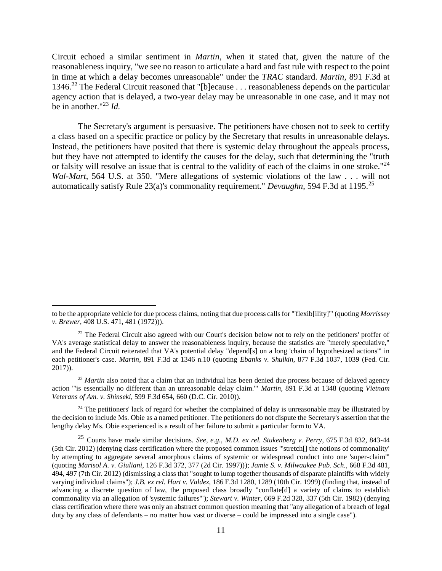Circuit echoed a similar sentiment in *Martin*, when it stated that, given the nature of the reasonableness inquiry, "we see no reason to articulate a hard and fast rule with respect to the point in time at which a delay becomes unreasonable" under the *TRAC* standard. *Martin*, 891 F.3d at 1346.<sup>22</sup> The Federal Circuit reasoned that "[b]ecause . . . reasonableness depends on the particular agency action that is delayed, a two-year delay may be unreasonable in one case, and it may not be in another."<sup>23</sup> *Id.*

The Secretary's argument is persuasive. The petitioners have chosen not to seek to certify a class based on a specific practice or policy by the Secretary that results in unreasonable delays. Instead, the petitioners have posited that there is systemic delay throughout the appeals process, but they have not attempted to identify the causes for the delay, such that determining the "truth or falsity will resolve an issue that is central to the validity of each of the claims in one stroke."<sup>24</sup> *Wal-Mart*, 564 U.S. at 350. "Mere allegations of systemic violations of the law . . . will not automatically satisfy Rule 23(a)'s commonality requirement." *Devaughn*, 594 F.3d at 1195.<sup>25</sup>

 $\overline{a}$ 

<sup>23</sup> *Martin* also noted that a claim that an individual has been denied due process because of delayed agency action "'is essentially no different than an unreasonable delay claim.'" *Martin*, 891 F.3d at 1348 (quoting *Vietnam Veterans of Am. v. Shinseki*, 599 F.3d 654, 660 (D.C. Cir. 2010)).

<sup>24</sup> The petitioners' lack of regard for whether the complained of delay is unreasonable may be illustrated by the decision to include Ms. Obie as a named petitioner. The petitioners do not dispute the Secretary's assertion that the lengthy delay Ms. Obie experienced is a result of her failure to submit a particular form to VA.

to be the appropriate vehicle for due process claims, noting that due process calls for "'flexib[ility]'" (quoting *Morrissey v. Brewer*, 408 U.S. 471, 481 (1972))).

<sup>&</sup>lt;sup>22</sup> The Federal Circuit also agreed with our Court's decision below not to rely on the petitioners' proffer of VA's average statistical delay to answer the reasonableness inquiry, because the statistics are "merely speculative," and the Federal Circuit reiterated that VA's potential delay "depend[s] on a long 'chain of hypothesized actions'" in each petitioner's case. *Martin*, 891 F.3d at 1346 n.10 (quoting *Ebanks v. Shulkin*, 877 F.3d 1037, 1039 (Fed. Cir. 2017)).

<sup>25</sup> Courts have made similar decisions. *See, e.g.*, *M.D. ex rel. Stukenberg v. Perry*, 675 F.3d 832, 843-44 (5th Cir. 2012) (denying class certification where the proposed common issues "'stretch[] the notions of commonality' by attempting to aggregate several amorphous claims of systemic or widespread conduct into one 'super-claim'" (quoting *Marisol A. v. Giuliani*, 126 F.3d 372, 377 (2d Cir. 1997))); *Jamie S. v. Milwaukee Pub. Sch.*, 668 F.3d 481, 494, 497 (7th Cir. 2012) (dismissing a class that "sought to lump together thousands of disparate plaintiffs with widely varying individual claims"); *J.B. ex rel. Hart v. Valdez*, 186 F.3d 1280, 1289 (10th Cir. 1999) (finding that, instead of advancing a discrete question of law, the proposed class broadly "conflate[d] a variety of claims to establish commonality via an allegation of 'systemic failures'"); *Stewart v. Winter*, 669 F.2d 328, 337 (5th Cir. 1982) (denying class certification where there was only an abstract common question meaning that "any allegation of a breach of legal duty by any class of defendants – no matter how vast or diverse – could be impressed into a single case").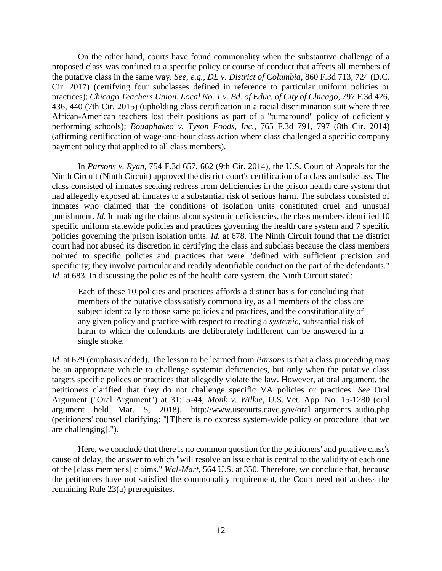On the other hand, courts have found commonality when the substantive challenge of a proposed class was confined to a specific policy or course of conduct that affects all members of the putative class in the same way. *See, e.g.*, *DL v*. *District of Columbia*, 860 F.3d 713, 724 (D.C. Cir. 2017) (certifying four subclasses defined in reference to particular uniform policies or practices); *Chicago Teachers Union, Local No. 1 v. Bd. of Educ. of City of Chicago*, 797 F.3d 426, 436, 440 (7th Cir. 2015) (upholding class certification in a racial discrimination suit where three African-American teachers lost their positions as part of a "turnaround" policy of deficiently performing schools); *Bouaphakeo v. Tyson Foods, Inc.*, 765 F.3d 791, 797 (8th Cir. 2014) (affirming certification of wage-and-hour class action where class challenged a specific company payment policy that applied to all class members).

In *Parsons v. Ryan*, 754 F.3d 657, 662 (9th Cir. 2014), the U.S. Court of Appeals for the Ninth Circuit (Ninth Circuit) approved the district court's certification of a class and subclass. The class consisted of inmates seeking redress from deficiencies in the prison health care system that had allegedly exposed all inmates to a substantial risk of serious harm. The subclass consisted of inmates who claimed that the conditions of isolation units constituted cruel and unusual punishment. *Id.* In making the claims about systemic deficiencies, the class members identified 10 specific uniform statewide policies and practices governing the health care system and 7 specific policies governing the prison isolation units. *Id.* at 678. The Ninth Circuit found that the district court had not abused its discretion in certifying the class and subclass because the class members pointed to specific policies and practices that were "defined with sufficient precision and specificity; they involve particular and readily identifiable conduct on the part of the defendants." *Id.* at 683. In discussing the policies of the health care system, the Ninth Circuit stated:

Each of these 10 policies and practices affords a distinct basis for concluding that members of the putative class satisfy commonality, as all members of the class are subject identically to those same policies and practices, and the constitutionality of any given policy and practice with respect to creating a *systemic*, substantial risk of harm to which the defendants are deliberately indifferent can be answered in a single stroke.

*Id.* at 679 (emphasis added). The lesson to be learned from *Parsons* is that a class proceeding may be an appropriate vehicle to challenge systemic deficiencies, but only when the putative class targets specific polices or practices that allegedly violate the law. However, at oral argument, the petitioners clarified that they do not challenge specific VA policies or practices. *See* Oral Argument ("Oral Argument") at 31:15-44, *Monk v. Wilkie*, U.S. Vet. App. No. 15-1280 (oral argument held Mar. 5, 2018), http://www.uscourts.cavc.gov/oral\_arguments\_audio.php (petitioners' counsel clarifying: "[T]here is no express system-wide policy or procedure [that we are challenging].").

Here, we conclude that there is no common question for the petitioners' and putative class's cause of delay, the answer to which "will resolve an issue that is central to the validity of each one of the [class member's] claims." *Wal-Mart*, 564 U.S. at 350. Therefore, we conclude that, because the petitioners have not satisfied the commonality requirement, the Court need not address the remaining Rule 23(a) prerequisites.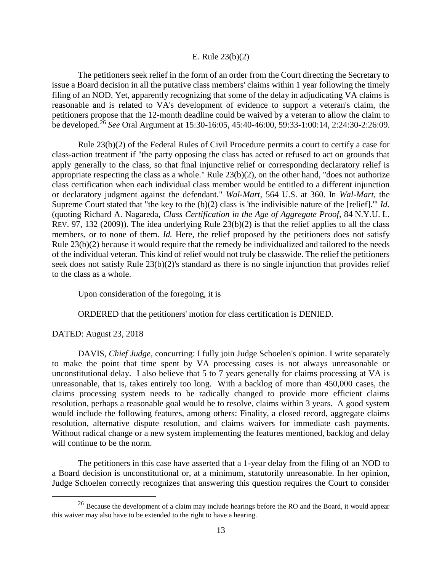## E. Rule 23(b)(2)

The petitioners seek relief in the form of an order from the Court directing the Secretary to issue a Board decision in all the putative class members' claims within 1 year following the timely filing of an NOD. Yet, apparently recognizing that some of the delay in adjudicating VA claims is reasonable and is related to VA's development of evidence to support a veteran's claim, the petitioners propose that the 12-month deadline could be waived by a veteran to allow the claim to be developed.<sup>26</sup> *See* Oral Argument at 15:30-16:05, 45:40-46:00, 59:33-1:00:14, 2:24:30-2:26:09.

Rule 23(b)(2) of the Federal Rules of Civil Procedure permits a court to certify a case for class-action treatment if "the party opposing the class has acted or refused to act on grounds that apply generally to the class, so that final injunctive relief or corresponding declaratory relief is appropriate respecting the class as a whole." Rule 23(b)(2), on the other hand, "does not authorize class certification when each individual class member would be entitled to a different injunction or declaratory judgment against the defendant." *Wal-Mart*, 564 U.S. at 360. In *Wal-Mart*, the Supreme Court stated that "the key to the (b)(2) class is 'the indivisible nature of the [relief].'" *Id.* (quoting Richard A. Nagareda, *Class Certification in the Age of Aggregate Proof*, 84 N.Y.U. L. REV. 97, 132 (2009)). The idea underlying Rule 23(b)(2) is that the relief applies to all the class members, or to none of them. *Id.* Here, the relief proposed by the petitioners does not satisfy Rule 23(b)(2) because it would require that the remedy be individualized and tailored to the needs of the individual veteran. This kind of relief would not truly be classwide. The relief the petitioners seek does not satisfy Rule 23(b)(2)'s standard as there is no single injunction that provides relief to the class as a whole.

Upon consideration of the foregoing, it is

ORDERED that the petitioners' motion for class certification is DENIED.

## DATED: August 23, 2018

 $\overline{a}$ 

DAVIS, *Chief Judge*, concurring: I fully join Judge Schoelen's opinion. I write separately to make the point that time spent by VA processing cases is not always unreasonable or unconstitutional delay. I also believe that 5 to 7 years generally for claims processing at VA is unreasonable, that is, takes entirely too long. With a backlog of more than 450,000 cases, the claims processing system needs to be radically changed to provide more efficient claims resolution, perhaps a reasonable goal would be to resolve, claims within 3 years. A good system would include the following features, among others: Finality, a closed record, aggregate claims resolution, alternative dispute resolution, and claims waivers for immediate cash payments. Without radical change or a new system implementing the features mentioned, backlog and delay will continue to be the norm.

The petitioners in this case have asserted that a 1-year delay from the filing of an NOD to a Board decision is unconstitutional or, at a minimum, statutorily unreasonable. In her opinion, Judge Schoelen correctly recognizes that answering this question requires the Court to consider

<sup>&</sup>lt;sup>26</sup> Because the development of a claim may include hearings before the RO and the Board, it would appear this waiver may also have to be extended to the right to have a hearing.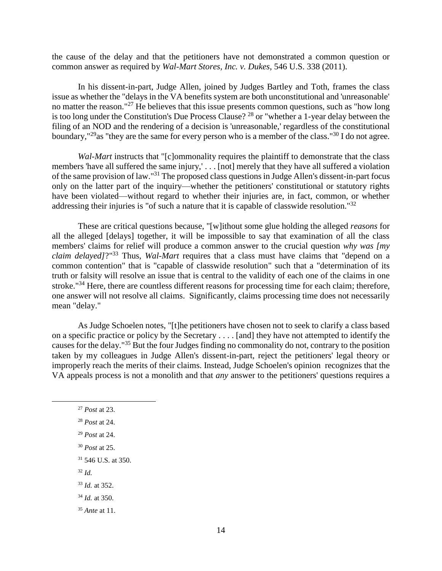the cause of the delay and that the petitioners have not demonstrated a common question or common answer as required by *Wal-Mart Stores, Inc. v. Dukes*, 546 U.S. 338 (2011).

In his dissent-in-part, Judge Allen, joined by Judges Bartley and Toth, frames the class issue as whether the "delays in the VA benefits system are both unconstitutional and 'unreasonable' no matter the reason."<sup>27</sup> He believes that this issue presents common questions, such as "how long" is too long under the Constitution's Due Process Clause? <sup>28</sup> or "whether a 1-year delay between the filing of an NOD and the rendering of a decision is 'unreasonable,' regardless of the constitutional boundary,"<sup>29</sup>as "they are the same for every person who is a member of the class."<sup>30</sup> I do not agree.

*Wal-Mart* instructs that "[c]ommonality requires the plaintiff to demonstrate that the class members 'have all suffered the same injury,' . . . [not] merely that they have all suffered a violation of the same provision of law."<sup>31</sup> The proposed class questions in Judge Allen's dissent-in-part focus only on the latter part of the inquiry—whether the petitioners' constitutional or statutory rights have been violated—without regard to whether their injuries are, in fact, common, or whether addressing their injuries is "of such a nature that it is capable of classwide resolution."<sup>32</sup>

These are critical questions because, "[w]ithout some glue holding the alleged *reasons* for all the alleged [delays] together, it will be impossible to say that examination of all the class members' claims for relief will produce a common answer to the crucial question *why was [my claim delayed]*?"<sup>33</sup> Thus, *Wal-Mart* requires that a class must have claims that "depend on a common contention" that is "capable of classwide resolution" such that a "determination of its truth or falsity will resolve an issue that is central to the validity of each one of the claims in one stroke."<sup>34</sup> Here, there are countless different reasons for processing time for each claim; therefore, one answer will not resolve all claims. Significantly, claims processing time does not necessarily mean "delay."

As Judge Schoelen notes, "[t]he petitioners have chosen not to seek to clarify a class based on a specific practice or policy by the Secretary . . . . [and] they have not attempted to identify the causes for the delay."<sup>35</sup> But the four Judges finding no commonality do not, contrary to the position taken by my colleagues in Judge Allen's dissent-in-part, reject the petitioners' legal theory or improperly reach the merits of their claims. Instead, Judge Schoelen's opinion recognizes that the VA appeals process is not a monolith and that *any* answer to the petitioners' questions requires a

<sup>27</sup> *Post* at 23.

 $\overline{a}$ 

- <sup>29</sup> *Post* at 24.
- <sup>30</sup> *Post* at 25.
- <sup>31</sup> 546 U.S. at 350.
- <sup>32</sup> *Id.*
- <sup>33</sup> *Id.* at 352.

<sup>34</sup> *Id.* at 350.

<sup>35</sup> *Ante* at 11.

<sup>28</sup> *Post* at 24.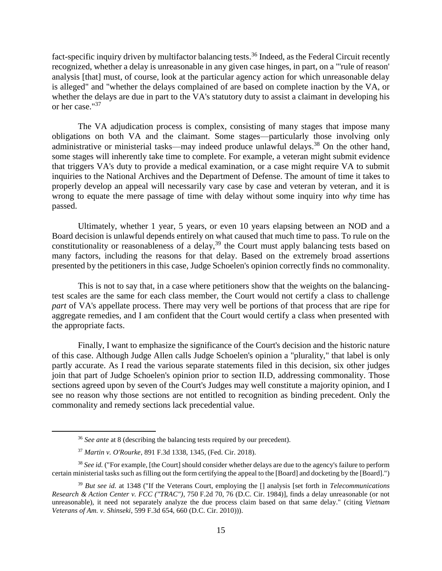fact-specific inquiry driven by multifactor balancing tests.<sup>36</sup> Indeed, as the Federal Circuit recently recognized, whether a delay is unreasonable in any given case hinges, in part, on a "'rule of reason' analysis [that] must, of course, look at the particular agency action for which unreasonable delay is alleged" and "whether the delays complained of are based on complete inaction by the VA, or whether the delays are due in part to the VA's statutory duty to assist a claimant in developing his or her case."<sup>37</sup>

The VA adjudication process is complex, consisting of many stages that impose many obligations on both VA and the claimant. Some stages—particularly those involving only administrative or ministerial tasks—may indeed produce unlawful delays.<sup>38</sup> On the other hand, some stages will inherently take time to complete. For example, a veteran might submit evidence that triggers VA's duty to provide a medical examination, or a case might require VA to submit inquiries to the National Archives and the Department of Defense. The amount of time it takes to properly develop an appeal will necessarily vary case by case and veteran by veteran, and it is wrong to equate the mere passage of time with delay without some inquiry into *why* time has passed.

Ultimately, whether 1 year, 5 years, or even 10 years elapsing between an NOD and a Board decision is unlawful depends entirely on what caused that much time to pass. To rule on the constitutionality or reasonableness of a delay,<sup>39</sup> the Court must apply balancing tests based on many factors, including the reasons for that delay. Based on the extremely broad assertions presented by the petitioners in this case, Judge Schoelen's opinion correctly finds no commonality.

This is not to say that, in a case where petitioners show that the weights on the balancingtest scales are the same for each class member, the Court would not certify a class to challenge *part* of VA's appellate process. There may very well be portions of that process that are ripe for aggregate remedies, and I am confident that the Court would certify a class when presented with the appropriate facts.

Finally, I want to emphasize the significance of the Court's decision and the historic nature of this case. Although Judge Allen calls Judge Schoelen's opinion a "plurality," that label is only partly accurate. As I read the various separate statements filed in this decision, six other judges join that part of Judge Schoelen's opinion prior to section II.D, addressing commonality. Those sections agreed upon by seven of the Court's Judges may well constitute a majority opinion, and I see no reason why those sections are not entitled to recognition as binding precedent. Only the commonality and remedy sections lack precedential value.

<sup>&</sup>lt;sup>36</sup> *See ante* at 8 (describing the balancing tests required by our precedent).

<sup>37</sup> *Martin v. O'Rourke*, 891 F.3d 1338, 1345, (Fed. Cir. 2018).

<sup>38</sup> *See id.* ("For example, [the Court] should consider whether delays are due to the agency's failure to perform certain ministerial tasks such as filling out the form certifying the appeal to the [Board] and docketing by the [Board].")

<sup>39</sup> *But see id.* at 1348 ("If the Veterans Court, employing the [] analysis [set forth in *Telecommunications Research & Action Center v. FCC ("TRAC")*, 750 F.2d 70, 76 (D.C. Cir. 1984)], finds a delay unreasonable (or not unreasonable), it need not separately analyze the due process claim based on that same delay." (citing *Vietnam Veterans of Am. v. Shinseki*, 599 F.3d 654, 660 (D.C. Cir. 2010))).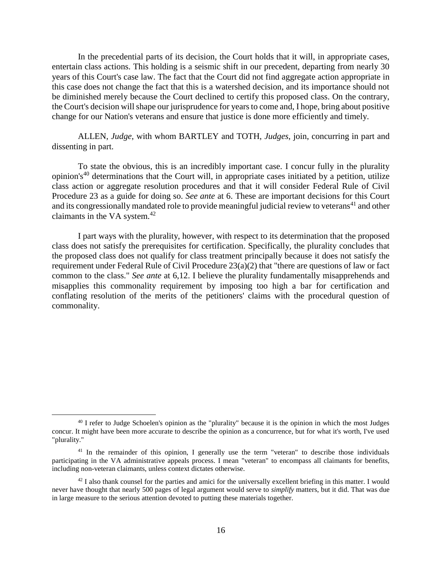In the precedential parts of its decision, the Court holds that it will, in appropriate cases, entertain class actions. This holding is a seismic shift in our precedent, departing from nearly 30 years of this Court's case law. The fact that the Court did not find aggregate action appropriate in this case does not change the fact that this is a watershed decision, and its importance should not be diminished merely because the Court declined to certify this proposed class. On the contrary, the Court's decision will shape our jurisprudence for years to come and, I hope, bring about positive change for our Nation's veterans and ensure that justice is done more efficiently and timely.

ALLEN, *Judge*, with whom BARTLEY and TOTH, *Judges*, join, concurring in part and dissenting in part.

To state the obvious, this is an incredibly important case. I concur fully in the plurality opinion's<sup>40</sup> determinations that the Court will, in appropriate cases initiated by a petition, utilize class action or aggregate resolution procedures and that it will consider Federal Rule of Civil Procedure 23 as a guide for doing so. *See ante* at 6. These are important decisions for this Court and its congressionally mandated role to provide meaningful judicial review to veterans<sup>41</sup> and other claimants in the VA system.<sup>42</sup>

I part ways with the plurality, however, with respect to its determination that the proposed class does not satisfy the prerequisites for certification. Specifically, the plurality concludes that the proposed class does not qualify for class treatment principally because it does not satisfy the requirement under Federal Rule of Civil Procedure 23(a)(2) that "there are questions of law or fact common to the class." *See ante* at 6,12. I believe the plurality fundamentally misapprehends and misapplies this commonality requirement by imposing too high a bar for certification and conflating resolution of the merits of the petitioners' claims with the procedural question of commonality.

<sup>&</sup>lt;sup>40</sup> I refer to Judge Schoelen's opinion as the "plurality" because it is the opinion in which the most Judges concur. It might have been more accurate to describe the opinion as a concurrence, but for what it's worth, I've used "plurality."

<sup>&</sup>lt;sup>41</sup> In the remainder of this opinion, I generally use the term "veteran" to describe those individuals participating in the VA administrative appeals process. I mean "veteran" to encompass all claimants for benefits, including non-veteran claimants, unless context dictates otherwise.

 $42$  I also thank counsel for the parties and amici for the universally excellent briefing in this matter. I would never have thought that nearly 500 pages of legal argument would serve to *simplify* matters, but it did. That was due in large measure to the serious attention devoted to putting these materials together.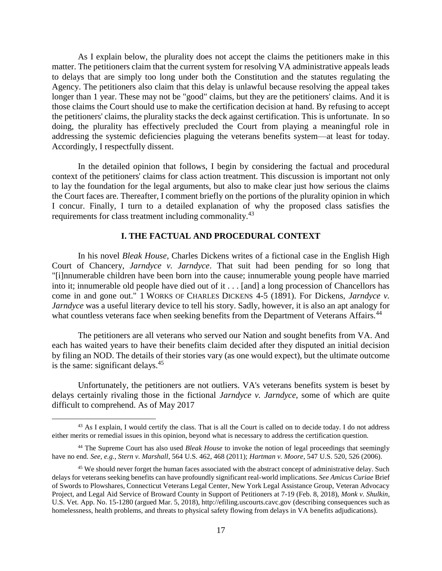As I explain below, the plurality does not accept the claims the petitioners make in this matter. The petitioners claim that the current system for resolving VA administrative appeals leads to delays that are simply too long under both the Constitution and the statutes regulating the Agency. The petitioners also claim that this delay is unlawful because resolving the appeal takes longer than 1 year. These may not be "good" claims, but they are the petitioners' claims. And it is those claims the Court should use to make the certification decision at hand. By refusing to accept the petitioners' claims, the plurality stacks the deck against certification. This is unfortunate. In so doing, the plurality has effectively precluded the Court from playing a meaningful role in addressing the systemic deficiencies plaguing the veterans benefits system—at least for today. Accordingly, I respectfully dissent.

In the detailed opinion that follows, I begin by considering the factual and procedural context of the petitioners' claims for class action treatment. This discussion is important not only to lay the foundation for the legal arguments, but also to make clear just how serious the claims the Court faces are. Thereafter, I comment briefly on the portions of the plurality opinion in which I concur. Finally, I turn to a detailed explanation of why the proposed class satisfies the requirements for class treatment including commonality.<sup>43</sup>

## **I. THE FACTUAL AND PROCEDURAL CONTEXT**

In his novel *Bleak House*, Charles Dickens writes of a fictional case in the English High Court of Chancery, *Jarndyce v. Jarndyce*. That suit had been pending for so long that "[i]nnumerable children have been born into the cause; innumerable young people have married into it; innumerable old people have died out of it . . . [and] a long procession of Chancellors has come in and gone out." 1 WORKS OF CHARLES DICKENS 4-5 (1891). For Dickens, *Jarndyce v. Jarndyce* was a useful literary device to tell his story. Sadly, however, it is also an apt analogy for what countless veterans face when seeking benefits from the Department of Veterans Affairs.<sup>44</sup>

The petitioners are all veterans who served our Nation and sought benefits from VA. And each has waited years to have their benefits claim decided after they disputed an initial decision by filing an NOD. The details of their stories vary (as one would expect), but the ultimate outcome is the same: significant delays. $45$ 

Unfortunately, the petitioners are not outliers. VA's veterans benefits system is beset by delays certainly rivaling those in the fictional *Jarndyce v. Jarndyce*, some of which are quite difficult to comprehend. As of May 2017

<sup>&</sup>lt;sup>43</sup> As I explain, I would certify the class. That is all the Court is called on to decide today. I do not address either merits or remedial issues in this opinion, beyond what is necessary to address the certification question.

<sup>44</sup> The Supreme Court has also used *Bleak House* to invoke the notion of legal proceedings that seemingly have no end. *See, e.g., Stern v. Marshall*, 564 U.S. 462, 468 (2011); *Hartman v. Moore*, 547 U.S. 520, 526 (2006).

<sup>&</sup>lt;sup>45</sup> We should never forget the human faces associated with the abstract concept of administrative delay. Such delays for veterans seeking benefits can have profoundly significant real-world implications. *See Amicus Curiae* Brief of Swords to Plowshares, Connecticut Veterans Legal Center, New York Legal Assistance Group, Veteran Advocacy Project, and Legal Aid Service of Broward County in Support of Petitioners at 7-19 (Feb. 8, 2018), *Monk v. Shulkin*, U.S. Vet. App. No. 15-1280 (argued Mar. 5, 2018), http://efiling.uscourts.cavc.gov (describing consequences such as homelessness, health problems, and threats to physical safety flowing from delays in VA benefits adjudications).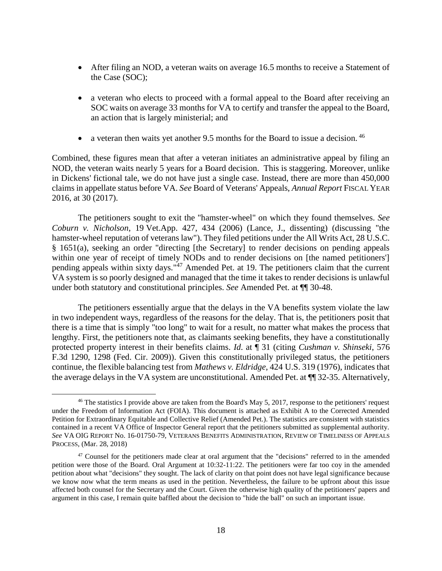- After filing an NOD, a veteran waits on average 16.5 months to receive a Statement of the Case (SOC);
- a veteran who elects to proceed with a formal appeal to the Board after receiving an SOC waits on average 33 months for VA to certify and transfer the appeal to the Board, an action that is largely ministerial; and
- a veteran then waits yet another 9.5 months for the Board to issue a decision.  $46$

Combined, these figures mean that after a veteran initiates an administrative appeal by filing an NOD, the veteran waits nearly 5 years for a Board decision. This is staggering. Moreover, unlike in Dickens' fictional tale, we do not have just a single case. Instead, there are more than 450,000 claims in appellate status before VA. *See* Board of Veterans' Appeals, *Annual Report* FISCAL YEAR 2016, at 30 (2017).

The petitioners sought to exit the "hamster-wheel" on which they found themselves. *See Coburn v. Nicholson*, 19 Vet.App. 427, 434 (2006) (Lance, J., dissenting) (discussing "the hamster-wheel reputation of veterans law"). They filed petitions under the All Writs Act, 28 U.S.C. § 1651(a), seeking an order "directing [the Secretary] to render decisions on pending appeals within one year of receipt of timely NODs and to render decisions on [the named petitioners'] pending appeals within sixty days."<sup>47</sup> Amended Pet. at 19. The petitioners claim that the current VA system is so poorly designed and managed that the time it takes to render decisions is unlawful under both statutory and constitutional principles. *See* Amended Pet. at ¶¶ 30-48.

The petitioners essentially argue that the delays in the VA benefits system violate the law in two independent ways, regardless of the reasons for the delay. That is, the petitioners posit that there is a time that is simply "too long" to wait for a result, no matter what makes the process that lengthy. First, the petitioners note that, as claimants seeking benefits, they have a constitutionally protected property interest in their benefits claims. *Id*. at ¶ 31 (citing *Cushman v. Shinseki*, 576 F.3d 1290, 1298 (Fed. Cir. 2009)). Given this constitutionally privileged status, the petitioners continue, the flexible balancing test from *Mathews v. Eldridge*, 424 U.S. 319 (1976), indicates that the average delays in the VA system are unconstitutional. Amended Pet. at ¶¶ 32-35. Alternatively,

<sup>&</sup>lt;sup>46</sup> The statistics I provide above are taken from the Board's May 5, 2017, response to the petitioners' request under the Freedom of Information Act (FOIA). This document is attached as Exhibit A to the Corrected Amended Petition for Extraordinary Equitable and Collective Relief (Amended Pet.). The statistics are consistent with statistics contained in a recent VA Office of Inspector General report that the petitioners submitted as supplemental authority. *See* VA OIG REPORT No. 16-01750-79, VETERANS BENEFITS ADMINISTRATION, REVIEW OF TIMELINESS OF APPEALS PROCESS, (Mar. 28, 2018)

 $47$  Counsel for the petitioners made clear at oral argument that the "decisions" referred to in the amended petition were those of the Board. Oral Argument at 10:32-11:22. The petitioners were far too coy in the amended petition about what "decisions" they sought. The lack of clarity on that point does not have legal significance because we know now what the term means as used in the petition. Nevertheless, the failure to be upfront about this issue affected both counsel for the Secretary and the Court. Given the otherwise high quality of the petitioners' papers and argument in this case, I remain quite baffled about the decision to "hide the ball" on such an important issue.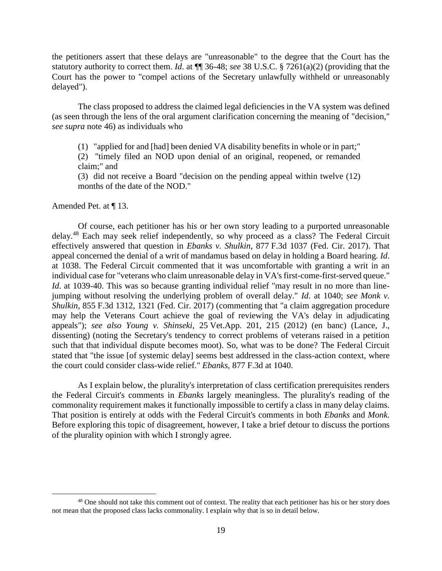the petitioners assert that these delays are "unreasonable" to the degree that the Court has the statutory authority to correct them. *Id*. at ¶¶ 36-48; *see* 38 U.S.C. § 7261(a)(2) (providing that the Court has the power to "compel actions of the Secretary unlawfully withheld or unreasonably delayed").

The class proposed to address the claimed legal deficiencies in the VA system was defined (as seen through the lens of the oral argument clarification concerning the meaning of "decision," *see supra* note 46) as individuals who

(1) "applied for and [had] been denied VA disability benefits in whole or in part;"

(2) "timely filed an NOD upon denial of an original, reopened, or remanded claim;" and

(3) did not receive a Board "decision on the pending appeal within twelve (12) months of the date of the NOD."

Amended Pet. at ¶ 13.

 $\overline{a}$ 

Of course, each petitioner has his or her own story leading to a purported unreasonable delay.<sup>48</sup> Each may seek relief independently, so why proceed as a class? The Federal Circuit effectively answered that question in *Ebanks v. Shulkin*, 877 F.3d 1037 (Fed. Cir. 2017). That appeal concerned the denial of a writ of mandamus based on delay in holding a Board hearing. *Id*. at 1038. The Federal Circuit commented that it was uncomfortable with granting a writ in an individual case for "veterans who claim unreasonable delay in VA's first-come-first-served queue." *Id.* at 1039-40. This was so because granting individual relief "may result in no more than linejumping without resolving the underlying problem of overall delay." *Id*. at 1040; *see Monk v. Shulkin*, 855 F.3d 1312, 1321 (Fed. Cir. 2017) (commenting that "a claim aggregation procedure may help the Veterans Court achieve the goal of reviewing the VA's delay in adjudicating appeals"); *see also Young v. Shinseki*, 25 Vet.App. 201, 215 (2012) (en banc) (Lance, J., dissenting) (noting the Secretary's tendency to correct problems of veterans raised in a petition such that that individual dispute becomes moot). So, what was to be done? The Federal Circuit stated that "the issue [of systemic delay] seems best addressed in the class-action context, where the court could consider class-wide relief." *Ebanks,* 877 F.3d at 1040.

As I explain below, the plurality's interpretation of class certification prerequisites renders the Federal Circuit's comments in *Ebanks* largely meaningless. The plurality's reading of the commonality requirement makes it functionally impossible to certify a class in many delay claims. That position is entirely at odds with the Federal Circuit's comments in both *Ebanks* and *Monk.* Before exploring this topic of disagreement, however, I take a brief detour to discuss the portions of the plurality opinion with which I strongly agree.

<sup>&</sup>lt;sup>48</sup> One should not take this comment out of context. The reality that each petitioner has his or her story does not mean that the proposed class lacks commonality. I explain why that is so in detail below.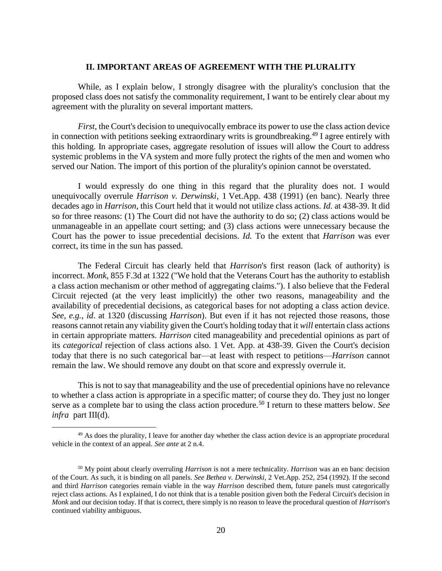## **II. IMPORTANT AREAS OF AGREEMENT WITH THE PLURALITY**

While, as I explain below, I strongly disagree with the plurality's conclusion that the proposed class does not satisfy the commonality requirement, I want to be entirely clear about my agreement with the plurality on several important matters.

*First*, the Court's decision to unequivocally embrace its power to use the class action device in connection with petitions seeking extraordinary writs is groundbreaking.<sup>49</sup> I agree entirely with this holding. In appropriate cases, aggregate resolution of issues will allow the Court to address systemic problems in the VA system and more fully protect the rights of the men and women who served our Nation. The import of this portion of the plurality's opinion cannot be overstated.

I would expressly do one thing in this regard that the plurality does not. I would unequivocally overrule *Harrison v. Derwinski*, 1 Vet.App. 438 (1991) (en banc). Nearly three decades ago in *Harrison*, this Court held that it would not utilize class actions. *Id*. at 438-39. It did so for three reasons: (1) The Court did not have the authority to do so; (2) class actions would be unmanageable in an appellate court setting; and (3) class actions were unnecessary because the Court has the power to issue precedential decisions. *Id.* To the extent that *Harrison* was ever correct, its time in the sun has passed.

The Federal Circuit has clearly held that *Harrison*'s first reason (lack of authority) is incorrect. *Monk*, 855 F.3d at 1322 ("We hold that the Veterans Court has the authority to establish a class action mechanism or other method of aggregating claims."). I also believe that the Federal Circuit rejected (at the very least implicitly) the other two reasons, manageability and the availability of precedential decisions, as categorical bases for not adopting a class action device. *See, e.g., id*. at 1320 (discussing *Harrison*). But even if it has not rejected those reasons, those reasons cannot retain any viability given the Court's holding today that it *will* entertain class actions in certain appropriate matters. *Harrison* cited manageability and precedential opinions as part of its *categorical* rejection of class actions also. 1 Vet. App. at 438-39. Given the Court's decision today that there is no such categorical bar—at least with respect to petitions—*Harrison* cannot remain the law. We should remove any doubt on that score and expressly overrule it.

This is not to say that manageability and the use of precedential opinions have no relevance to whether a class action is appropriate in a specific matter; of course they do. They just no longer serve as a complete bar to using the class action procedure.<sup>50</sup> I return to these matters below. *See infra* part III(d).

<sup>&</sup>lt;sup>49</sup> As does the plurality, I leave for another day whether the class action device is an appropriate procedural vehicle in the context of an appeal. *See ante* at 2 n.4.

<sup>50</sup> My point about clearly overruling *Harrison* is not a mere technicality. *Harrison* was an en banc decision of the Court. As such, it is binding on all panels. *See Bethea v. Derwinski*, 2 Vet.App. 252, 254 (1992). If the second and third *Harrison* categories remain viable in the way *Harrison* described them, future panels must categorically reject class actions. As I explained, I do not think that is a tenable position given both the Federal Circuit's decision in *Monk* and our decision today. If that is correct, there simply is no reason to leave the procedural question of *Harrison*'s continued viability ambiguous.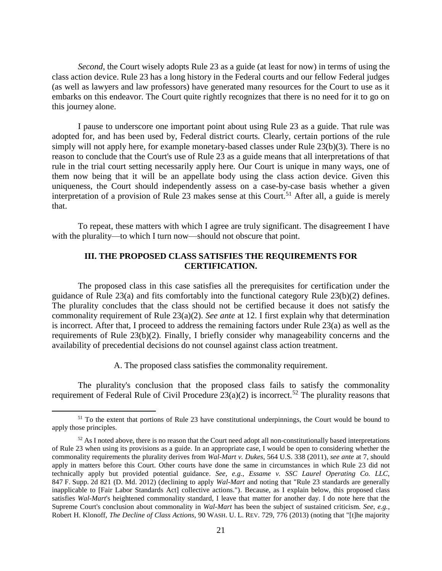*Second*, the Court wisely adopts Rule 23 as a guide (at least for now) in terms of using the class action device. Rule 23 has a long history in the Federal courts and our fellow Federal judges (as well as lawyers and law professors) have generated many resources for the Court to use as it embarks on this endeavor. The Court quite rightly recognizes that there is no need for it to go on this journey alone.

I pause to underscore one important point about using Rule 23 as a guide. That rule was adopted for, and has been used by, Federal district courts. Clearly, certain portions of the rule simply will not apply here, for example monetary-based classes under Rule 23(b)(3). There is no reason to conclude that the Court's use of Rule 23 as a guide means that all interpretations of that rule in the trial court setting necessarily apply here. Our Court is unique in many ways, one of them now being that it will be an appellate body using the class action device. Given this uniqueness, the Court should independently assess on a case-by-case basis whether a given interpretation of a provision of Rule 23 makes sense at this Court.<sup>51</sup> After all, a guide is merely that.

To repeat, these matters with which I agree are truly significant. The disagreement I have with the plurality—to which I turn now—should not obscure that point.

# **III. THE PROPOSED CLASS SATISFIES THE REQUIREMENTS FOR CERTIFICATION.**

The proposed class in this case satisfies all the prerequisites for certification under the guidance of Rule 23(a) and fits comfortably into the functional category Rule 23(b)(2) defines. The plurality concludes that the class should not be certified because it does not satisfy the commonality requirement of Rule 23(a)(2). *See ante* at 12. I first explain why that determination is incorrect. After that, I proceed to address the remaining factors under Rule 23(a) as well as the requirements of Rule 23(b)(2). Finally, I briefly consider why manageability concerns and the availability of precedential decisions do not counsel against class action treatment.

A. The proposed class satisfies the commonality requirement.

The plurality's conclusion that the proposed class fails to satisfy the commonality requirement of Federal Rule of Civil Procedure  $23(a)(2)$  is incorrect.<sup>52</sup> The plurality reasons that

<sup>&</sup>lt;sup>51</sup> To the extent that portions of Rule 23 have constitutional underpinnings, the Court would be bound to apply those principles.

 $52$  As I noted above, there is no reason that the Court need adopt all non-constitutionally based interpretations of Rule 23 when using its provisions as a guide. In an appropriate case, I would be open to considering whether the commonality requirements the plurality derives from *Wal-Mart v. Dukes*, 564 U.S. 338 (2011), *see ante* at 7, should apply in matters before this Court. Other courts have done the same in circumstances in which Rule 23 did not technically apply but provided potential guidance. *See, e.g.*, *Essame v. SSC Laurel Operating Co. LLC*, 847 F. Supp. 2d 821 (D. Md. 2012) (declining to apply *Wal-Mart* and noting that "Rule 23 standards are generally inapplicable to [Fair Labor Standards Act] collective actions."). Because, as I explain below, this proposed class satisfies *Wal-Mart*'s heightened commonality standard, I leave that matter for another day. I do note here that the Supreme Court's conclusion about commonality in *Wal-Mart* has been the subject of sustained criticism. *See, e.g.*, Robert H. Klonoff, *The Decline of Class Actions*, 90 WASH. U. L. REV. 729, 776 (2013) (noting that "[t]he majority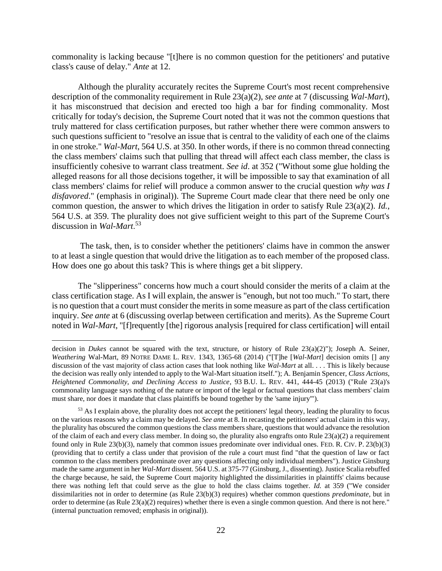commonality is lacking because "[t]here is no common question for the petitioners' and putative class's cause of delay." *Ante* at 12.

Although the plurality accurately recites the Supreme Court's most recent comprehensive description of the commonality requirement in Rule 23(a)(2), *see ante* at 7 (discussing *Wal-Mart*), it has misconstrued that decision and erected too high a bar for finding commonality. Most critically for today's decision, the Supreme Court noted that it was not the common questions that truly mattered for class certification purposes, but rather whether there were common answers to such questions sufficient to "resolve an issue that is central to the validity of each one of the claims in one stroke." *Wal-Mart*, 564 U.S. at 350. In other words, if there is no common thread connecting the class members' claims such that pulling that thread will affect each class member, the class is insufficiently cohesive to warrant class treatment. *See id*. at 352 ("Without some glue holding the alleged reasons for all those decisions together, it will be impossible to say that examination of all class members' claims for relief will produce a common answer to the crucial question *why was I disfavored*." (emphasis in original)). The Supreme Court made clear that there need be only one common question, the answer to which drives the litigation in order to satisfy Rule 23(a)(2). *Id.*, 564 U.S. at 359. The plurality does not give sufficient weight to this part of the Supreme Court's discussion in *Wal-Mart*. 53

The task, then, is to consider whether the petitioners' claims have in common the answer to at least a single question that would drive the litigation as to each member of the proposed class. How does one go about this task? This is where things get a bit slippery.

The "slipperiness" concerns how much a court should consider the merits of a claim at the class certification stage. As I will explain, the answer is "enough, but not too much." To start, there is no question that a court must consider the merits in some measure as part of the class certification inquiry. *See ante* at 6 (discussing overlap between certification and merits). As the Supreme Court noted in *Wal-Mart*, "[f]requently [the] rigorous analysis [required for class certification] will entail

decision in *Dukes* cannot be squared with the text, structure, or history of Rule 23(a)(2)"); Joseph A. Seiner, *Weathering* Wal-Mart, 89 NOTRE DAME L. REV. 1343, 1365-68 (2014) ("[T]he [*Wal-Mart*] decision omits [] any discussion of the vast majority of class action cases that look nothing like *Wal-Mart* at all. . . . This is likely because the decision was really only intended to apply to the Wal-Mart situation itself."); A. Benjamin Spencer, *Class Actions, Heightened Commonality, and Declining Access to Justice*, 93 B.U. L. REV. 441, 444-45 (2013) ("Rule 23(a)'s commonality language says nothing of the nature or import of the legal or factual questions that class members' claim must share, nor does it mandate that class plaintiffs be bound together by the 'same injury'").

<sup>&</sup>lt;sup>53</sup> As I explain above, the plurality does not accept the petitioners' legal theory, leading the plurality to focus on the various reasons why a claim may be delayed. *See ante* at 8. In recasting the petitioners' actual claim in this way, the plurality has obscured the common questions the class members share, questions that would advance the resolution of the claim of each and every class member. In doing so, the plurality also engrafts onto Rule  $23(a)(2)$  a requirement found only in Rule 23(b)(3), namely that common issues predominate over individual ones. FED. R. CIV. P. 23(b)(3) (providing that to certify a class under that provision of the rule a court must find "that the question of law or fact common to the class members predominate over any questions affecting only individual members"). Justice Ginsburg made the same argument in her *Wal-Mart* dissent. 564 U.S. at 375-77 (Ginsburg, J., dissenting). Justice Scalia rebuffed the charge because, he said, the Supreme Court majority highlighted the dissimilarities in plaintiffs' claims because there was nothing left that could serve as the glue to hold the class claims together. *Id.* at 359 ("We consider dissimilarities not in order to determine (as Rule 23(b)(3) requires) whether common questions *predominate*, but in order to determine (as Rule 23(a)(2) requires) whether there is even a single common question. And there is not here." (internal punctuation removed; emphasis in original)).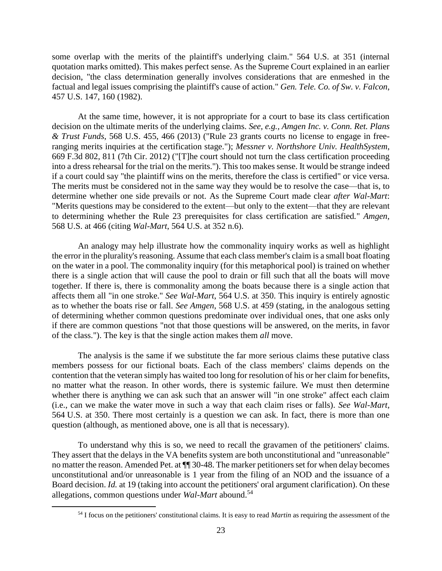some overlap with the merits of the plaintiff's underlying claim." 564 U.S. at 351 (internal quotation marks omitted). This makes perfect sense. As the Supreme Court explained in an earlier decision, "the class determination generally involves considerations that are enmeshed in the factual and legal issues comprising the plaintiff's cause of action." *Gen. Tele. Co. of Sw. v. Falcon*, 457 U.S. 147, 160 (1982).

At the same time, however, it is not appropriate for a court to base its class certification decision on the ultimate merits of the underlying claims. *See, e.g., Amgen Inc. v. Conn. Ret. Plans & Trust Funds*, 568 U.S. 455, 466 (2013) ("Rule 23 grants courts no license to engage in freeranging merits inquiries at the certification stage."); *Messner v. Northshore Univ. HealthSystem*, 669 F.3d 802, 811 (7th Cir. 2012) ("[T]he court should not turn the class certification proceeding into a dress rehearsal for the trial on the merits."). This too makes sense. It would be strange indeed if a court could say "the plaintiff wins on the merits, therefore the class is certified" or vice versa. The merits must be considered not in the same way they would be to resolve the case—that is, to determine whether one side prevails or not. As the Supreme Court made clear *after Wal-Mart*: "Merits questions may be considered to the extent—but only to the extent—that they are relevant to determining whether the Rule 23 prerequisites for class certification are satisfied*.*" *Amgen,* 568 U.S. at 466 (citing *Wal-Mart*, 564 U.S. at 352 n.6).

An analogy may help illustrate how the commonality inquiry works as well as highlight the error in the plurality's reasoning. Assume that each class member's claim is a small boat floating on the water in a pool. The commonality inquiry (for this metaphorical pool) is trained on whether there is a single action that will cause the pool to drain or fill such that all the boats will move together. If there is, there is commonality among the boats because there is a single action that affects them all "in one stroke." *See Wal-Mart*, 564 U.S. at 350. This inquiry is entirely agnostic as to whether the boats rise or fall. *See Amgen*, 568 U.S. at 459 (stating, in the analogous setting of determining whether common questions predominate over individual ones, that one asks only if there are common questions "not that those questions will be answered, on the merits, in favor of the class."). The key is that the single action makes them *all* move.

The analysis is the same if we substitute the far more serious claims these putative class members possess for our fictional boats. Each of the class members' claims depends on the contention that the veteran simply has waited too long for resolution of his or her claim for benefits, no matter what the reason. In other words, there is systemic failure. We must then determine whether there is anything we can ask such that an answer will "in one stroke" affect each claim (i.e., can we make the water move in such a way that each claim rises or falls). *See Wal-Mart*, 564 U.S. at 350. There most certainly is a question we can ask. In fact, there is more than one question (although, as mentioned above, one is all that is necessary).

To understand why this is so, we need to recall the gravamen of the petitioners' claims. They assert that the delays in the VA benefits system are both unconstitutional and "unreasonable" no matter the reason. Amended Pet. at ¶¶ 30-48. The marker petitioners set for when delay becomes unconstitutional and/or unreasonable is 1 year from the filing of an NOD and the issuance of a Board decision. *Id.* at 19 (taking into account the petitioners' oral argument clarification). On these allegations, common questions under *Wal-Mart* abound.<sup>54</sup>

<sup>54</sup> I focus on the petitioners' constitutional claims. It is easy to read *Martin* as requiring the assessment of the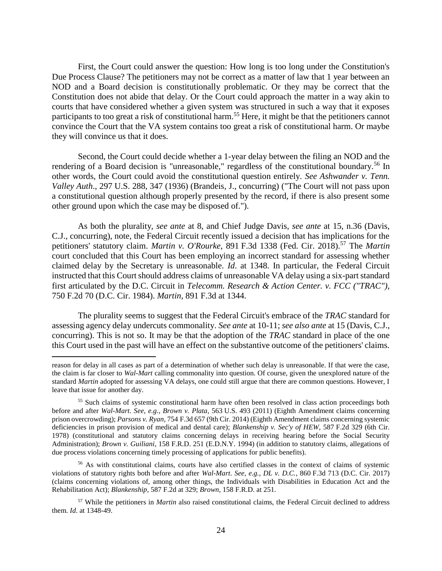First, the Court could answer the question: How long is too long under the Constitution's Due Process Clause? The petitioners may not be correct as a matter of law that 1 year between an NOD and a Board decision is constitutionally problematic. Or they may be correct that the Constitution does not abide that delay. Or the Court could approach the matter in a way akin to courts that have considered whether a given system was structured in such a way that it exposes participants to too great a risk of constitutional harm.<sup>55</sup> Here, it might be that the petitioners cannot convince the Court that the VA system contains too great a risk of constitutional harm. Or maybe they will convince us that it does.

Second, the Court could decide whether a 1-year delay between the filing an NOD and the rendering of a Board decision is "unreasonable," regardless of the constitutional boundary.<sup>56</sup> In other words, the Court could avoid the constitutional question entirely. *See Ashwander v. Tenn. Valley Auth*., 297 U.S. 288, 347 (1936) (Brandeis, J., concurring) ("The Court will not pass upon a constitutional question although properly presented by the record, if there is also present some other ground upon which the case may be disposed of.").

As both the plurality, *see ante* at 8, and Chief Judge Davis, *see ante* at 15, n.36 (Davis, C.J., concurring), note, the Federal Circuit recently issued a decision that has implications for the petitioners' statutory claim. *Martin v. O'Rourke*, 891 F.3d 1338 (Fed. Cir. 2018).<sup>57</sup> The *Martin* court concluded that this Court has been employing an incorrect standard for assessing whether claimed delay by the Secretary is unreasonable. *Id*. at 1348. In particular, the Federal Circuit instructed that this Court should address claims of unreasonable VA delay using a six-part standard first articulated by the D.C. Circuit in *Telecomm. Research & Action Center. v. FCC ("TRAC")*, 750 F.2d 70 (D.C. Cir. 1984). *Martin*, 891 F.3d at 1344.

The plurality seems to suggest that the Federal Circuit's embrace of the *TRAC* standard for assessing agency delay undercuts commonality. *See ante* at 10-11; *see also ante* at 15 (Davis, C.J., concurring). This is not so. It may be that the adoption of the *TRAC* standard in place of the one this Court used in the past will have an effect on the substantive outcome of the petitioners' claims.

reason for delay in all cases as part of a determination of whether such delay is unreasonable. If that were the case, the claim is far closer to *Wal-Mart* calling commonality into question. Of course, given the unexplored nature of the standard *Martin* adopted for assessing VA delays, one could still argue that there are common questions. However, I leave that issue for another day.

<sup>&</sup>lt;sup>55</sup> Such claims of systemic constitutional harm have often been resolved in class action proceedings both before and after *Wal-Mart*. *See, e.g., Brown v. Plata*, 563 U.S. 493 (2011) (Eighth Amendment claims concerning prison overcrowding); *Parsons v. Ryan*, 754 F.3d 657 (9th Cir. 2014) (Eighth Amendment claims concerning systemic deficiencies in prison provision of medical and dental care); *Blankenship v. Sec'y of HEW*, 587 F.2d 329 (6th Cir. 1978) (constitutional and statutory claims concerning delays in receiving hearing before the Social Security Administration); *Brown v. Guiliani*, 158 F.R.D. 251 (E.D.N.Y. 1994) (in addition to statutory claims, allegations of due process violations concerning timely processing of applications for public benefits).

<sup>56</sup> As with constitutional claims, courts have also certified classes in the context of claims of systemic violations of statutory rights both before and after *Wal-Mart*. *See, e.g., DL v. D.C.*, 860 F.3d 713 (D.C. Cir. 2017) (claims concerning violations of, among other things, the Individuals with Disabilities in Education Act and the Rehabilitation Act); *Blankenship*, 587 F.2d at 329; *Brown*, 158 F.R.D. at 251.

<sup>57</sup> While the petitioners in *Martin* also raised constitutional claims, the Federal Circuit declined to address them. *Id*. at 1348-49.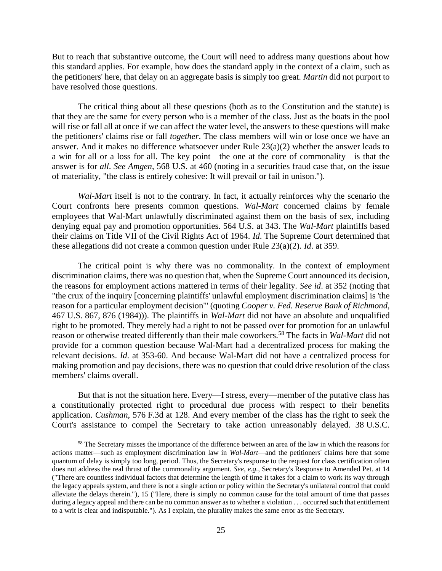But to reach that substantive outcome, the Court will need to address many questions about how this standard applies. For example, how does the standard apply in the context of a claim, such as the petitioners' here, that delay on an aggregate basis is simply too great. *Martin* did not purport to have resolved those questions.

The critical thing about all these questions (both as to the Constitution and the statute) is that they are the same for every person who is a member of the class. Just as the boats in the pool will rise or fall all at once if we can affect the water level, the answers to these questions will make the petitioners' claims rise or fall *together*. The class members will win or lose once we have an answer. And it makes no difference whatsoever under Rule 23(a)(2) whether the answer leads to a win for all or a loss for all. The key point—the one at the core of commonality—is that the answer is for *all*. *See Amgen*, 568 U.S. at 460 (noting in a securities fraud case that, on the issue of materiality, "the class is entirely cohesive: It will prevail or fail in unison.").

*Wal-Mart* itself is not to the contrary. In fact, it actually reinforces why the scenario the Court confronts here presents common questions. *Wal-Mart* concerned claims by female employees that Wal-Mart unlawfully discriminated against them on the basis of sex, including denying equal pay and promotion opportunities. 564 U.S. at 343. The *Wal-Mart* plaintiffs based their claims on Title VII of the Civil Rights Act of 1964. *Id*. The Supreme Court determined that these allegations did not create a common question under Rule 23(a)(2). *Id*. at 359.

The critical point is why there was no commonality. In the context of employment discrimination claims, there was no question that, when the Supreme Court announced its decision, the reasons for employment actions mattered in terms of their legality. *See id*. at 352 (noting that "the crux of the inquiry [concerning plaintiffs' unlawful employment discrimination claims] is 'the reason for a particular employment decision'" (quoting *Cooper v. Fed. Reserve Bank of Richmond*, 467 U.S. 867, 876 (1984))). The plaintiffs in *Wal-Mart* did not have an absolute and unqualified right to be promoted. They merely had a right to not be passed over for promotion for an unlawful reason or otherwise treated differently than their male coworkers.<sup>58</sup> The facts in *Wal-Mart* did not provide for a common question because Wal-Mart had a decentralized process for making the relevant decisions. *Id*. at 353-60. And because Wal-Mart did not have a centralized process for making promotion and pay decisions, there was no question that could drive resolution of the class members' claims overall.

But that is not the situation here. Every—I stress, every—member of the putative class has a constitutionally protected right to procedural due process with respect to their benefits application. *Cushman*, 576 F.3d at 128. And every member of the class has the right to seek the Court's assistance to compel the Secretary to take action unreasonably delayed. 38 U.S.C.

<sup>&</sup>lt;sup>58</sup> The Secretary misses the importance of the difference between an area of the law in which the reasons for actions matter—such as employment discrimination law in *Wal-Mart*—and the petitioners' claims here that some quantum of delay is simply too long, period. Thus, the Secretary's response to the request for class certification often does not address the real thrust of the commonality argument. *See, e.g.,* Secretary's Response to Amended Pet. at 14 ("There are countless individual factors that determine the length of time it takes for a claim to work its way through the legacy appeals system, and there is not a single action or policy within the Secretary's unilateral control that could alleviate the delays therein."), 15 ("Here, there is simply no common cause for the total amount of time that passes during a legacy appeal and there can be no common answer as to whether a violation . . . occurred such that entitlement to a writ is clear and indisputable."). As I explain, the plurality makes the same error as the Secretary.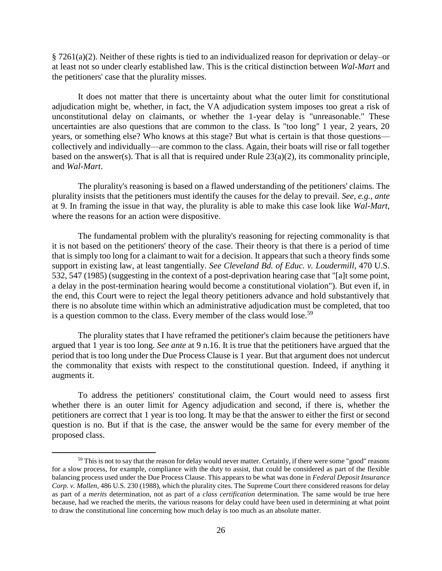§ 7261(a)(2). Neither of these rights is tied to an individualized reason for deprivation or delay–or at least not so under clearly established law. This is the critical distinction between *Wal-Mart* and the petitioners' case that the plurality misses.

It does not matter that there is uncertainty about what the outer limit for constitutional adjudication might be, whether, in fact, the VA adjudication system imposes too great a risk of unconstitutional delay on claimants, or whether the 1-year delay is "unreasonable." These uncertainties are also questions that are common to the class. Is "too long" 1 year, 2 years, 20 years, or something else? Who knows at this stage? But what is certain is that those questions collectively and individually—are common to the class. Again, their boats will rise or fall together based on the answer(s). That is all that is required under Rule 23(a)(2), its commonality principle, and *Wal-Mart*.

The plurality's reasoning is based on a flawed understanding of the petitioners' claims. The plurality insists that the petitioners must identify the causes for the delay to prevail. *See, e.g., ante* at 9. In framing the issue in that way, the plurality is able to make this case look like *Wal-Mart*, where the reasons for an action were dispositive.

The fundamental problem with the plurality's reasoning for rejecting commonality is that it is not based on the petitioners' theory of the case. Their theory is that there is a period of time that is simply too long for a claimant to wait for a decision. It appears that such a theory finds some support in existing law, at least tangentially. *See Cleveland Bd. of Educ. v. Loudermill*, 470 U.S. 532, 547 (1985) (suggesting in the context of a post-deprivation hearing case that "[a]t some point, a delay in the post-termination hearing would become a constitutional violation"). But even if, in the end, this Court were to reject the legal theory petitioners advance and hold substantively that there is no absolute time within which an administrative adjudication must be completed, that too is a question common to the class. Every member of the class would lose.<sup>59</sup>

The plurality states that I have reframed the petitioner's claim because the petitioners have argued that 1 year is too long. *See ante* at 9 n.16. It is true that the petitioners have argued that the period that is too long under the Due Process Clause is 1 year. But that argument does not undercut the commonality that exists with respect to the constitutional question. Indeed, if anything it augments it.

To address the petitioners' constitutional claim, the Court would need to assess first whether there is an outer limit for Agency adjudication and second, if there is, whether the petitioners are correct that 1 year is too long. It may be that the answer to either the first or second question is no. But if that is the case, the answer would be the same for every member of the proposed class.

 $59$  This is not to say that the reason for delay would never matter. Certainly, if there were some "good" reasons for a slow process, for example, compliance with the duty to assist, that could be considered as part of the flexible balancing process used under the Due Process Clause. This appears to be what was done in *Federal Deposit Insurance Corp. v. Mallen*, 486 U.S. 230 (1988), which the plurality cites. The Supreme Court there considered reasons for delay as part of a *merits* determination, not as part of a *class certification* determination. The same would be true here because, had we reached the merits, the various reasons for delay could have been used in determining at what point to draw the constitutional line concerning how much delay is too much as an absolute matter.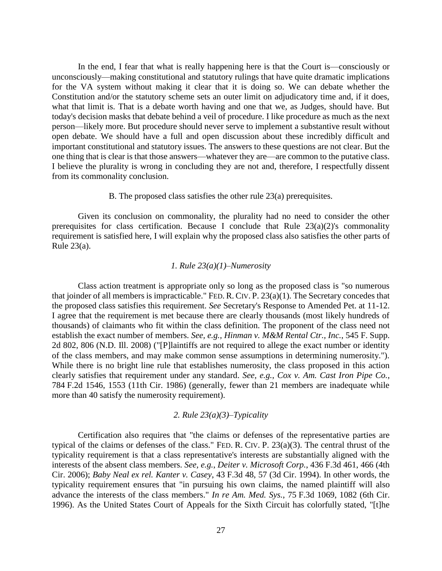In the end, I fear that what is really happening here is that the Court is—consciously or unconsciously—making constitutional and statutory rulings that have quite dramatic implications for the VA system without making it clear that it is doing so. We can debate whether the Constitution and/or the statutory scheme sets an outer limit on adjudicatory time and, if it does, what that limit is. That is a debate worth having and one that we, as Judges, should have. But today's decision masks that debate behind a veil of procedure. I like procedure as much as the next person—likely more. But procedure should never serve to implement a substantive result without open debate. We should have a full and open discussion about these incredibly difficult and important constitutional and statutory issues. The answers to these questions are not clear. But the one thing that is clear is that those answers—whatever they are—are common to the putative class. I believe the plurality is wrong in concluding they are not and, therefore, I respectfully dissent from its commonality conclusion.

## B. The proposed class satisfies the other rule 23(a) prerequisites.

Given its conclusion on commonality, the plurality had no need to consider the other prerequisites for class certification. Because I conclude that Rule  $23(a)(2)$ 's commonality requirement is satisfied here, I will explain why the proposed class also satisfies the other parts of Rule 23(a).

## *1. Rule 23(a)(1)–Numerosity*

Class action treatment is appropriate only so long as the proposed class is "so numerous that joinder of all members is impracticable." FED. R. CIV. P. 23(a)(1). The Secretary concedes that the proposed class satisfies this requirement. *See* Secretary's Response to Amended Pet. at 11-12. I agree that the requirement is met because there are clearly thousands (most likely hundreds of thousands) of claimants who fit within the class definition. The proponent of the class need not establish the exact number of members. *See, e.g., Hinman v. M&M Rental Ctr., Inc.*, 545 F. Supp. 2d 802, 806 (N.D. Ill. 2008) ("[P]laintiffs are not required to allege the exact number or identity of the class members, and may make common sense assumptions in determining numerosity."). While there is no bright line rule that establishes numerosity, the class proposed in this action clearly satisfies that requirement under any standard. *See, e.g.*, *Cox v. Am. Cast Iron Pipe Co.*, 784 F.2d 1546, 1553 (11th Cir. 1986) (generally, fewer than 21 members are inadequate while more than 40 satisfy the numerosity requirement).

### *2. Rule 23(a)(3)–Typicality*

Certification also requires that "the claims or defenses of the representative parties are typical of the claims or defenses of the class." FED. R. CIV. P. 23(a)(3). The central thrust of the typicality requirement is that a class representative's interests are substantially aligned with the interests of the absent class members. *See, e.g.*, *Deiter v. Microsoft Corp.*, 436 F.3d 461, 466 (4th Cir. 2006); *Baby Neal ex rel. Kanter v. Casey*, 43 F.3d 48, 57 (3d Cir. 1994). In other words, the typicality requirement ensures that "in pursuing his own claims, the named plaintiff will also advance the interests of the class members." *In re Am. Med. Sys.*, 75 F.3d 1069, 1082 (6th Cir. 1996). As the United States Court of Appeals for the Sixth Circuit has colorfully stated, "[t]he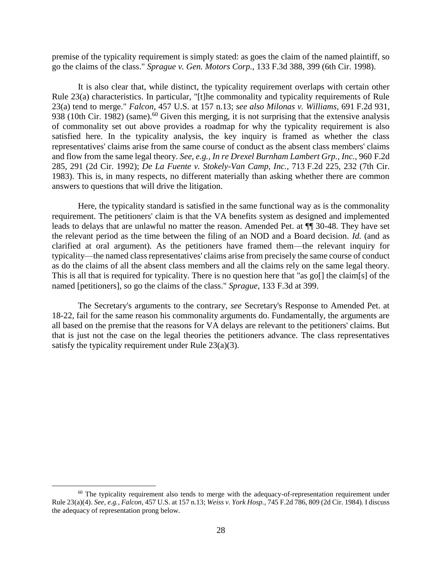premise of the typicality requirement is simply stated: as goes the claim of the named plaintiff, so go the claims of the class." *Sprague v. Gen. Motors Corp.*, 133 F.3d 388, 399 (6th Cir. 1998).

It is also clear that, while distinct, the typicality requirement overlaps with certain other Rule 23(a) characteristics. In particular, "[t]he commonality and typicality requirements of Rule 23(a) tend to merge." *Falcon*, 457 U.S. at 157 n.13; *see also Milonas v. Williams*, 691 F.2d 931, 938 (10th Cir. 1982) (same).<sup>60</sup> Given this merging, it is not surprising that the extensive analysis of commonality set out above provides a roadmap for why the typicality requirement is also satisfied here. In the typicality analysis, the key inquiry is framed as whether the class representatives' claims arise from the same course of conduct as the absent class members' claims and flow from the same legal theory. *See, e.g., In re Drexel Burnham Lambert Grp., Inc.*, 960 F.2d 285, 291 (2d Cir. 1992); *De La Fuente v. Stokely-Van Camp, Inc.*, 713 F.2d 225, 232 (7th Cir. 1983). This is, in many respects, no different materially than asking whether there are common answers to questions that will drive the litigation.

Here, the typicality standard is satisfied in the same functional way as is the commonality requirement. The petitioners' claim is that the VA benefits system as designed and implemented leads to delays that are unlawful no matter the reason. Amended Pet. at ¶¶ 30-48. They have set the relevant period as the time between the filing of an NOD and a Board decision. *Id.* (and as clarified at oral argument). As the petitioners have framed them—the relevant inquiry for typicality—the named class representatives' claims arise from precisely the same course of conduct as do the claims of all the absent class members and all the claims rely on the same legal theory. This is all that is required for typicality. There is no question here that "as go[] the claim[s] of the named [petitioners], so go the claims of the class." *Sprague*, 133 F.3d at 399.

The Secretary's arguments to the contrary, *see* Secretary's Response to Amended Pet. at 18-22, fail for the same reason his commonality arguments do. Fundamentally, the arguments are all based on the premise that the reasons for VA delays are relevant to the petitioners' claims. But that is just not the case on the legal theories the petitioners advance. The class representatives satisfy the typicality requirement under Rule  $23(a)(3)$ .

<sup>&</sup>lt;sup>60</sup> The typicality requirement also tends to merge with the adequacy-of-representation requirement under Rule 23(a)(4). *See, e.g., Falcon*, 457 U.S. at 157 n.13; *Weiss v. York Hosp.*, 745 F.2d 786, 809 (2d Cir. 1984). I discuss the adequacy of representation prong below.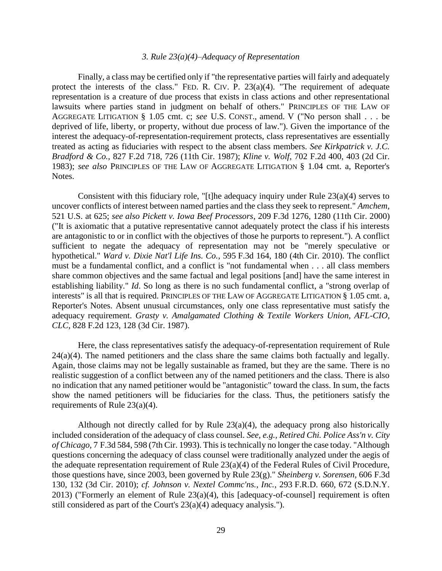## *3. Rule 23(a)(4)–Adequacy of Representation*

Finally, a class may be certified only if "the representative parties will fairly and adequately protect the interests of the class." FED. R. CIV. P.  $23(a)(4)$ . "The requirement of adequate representation is a creature of due process that exists in class actions and other representational lawsuits where parties stand in judgment on behalf of others." PRINCIPLES OF THE LAW OF AGGREGATE LITIGATION § 1.05 cmt. c; *see* U.S. CONST., amend. V ("No person shall . . . be deprived of life, liberty, or property, without due process of law."). Given the importance of the interest the adequacy-of-representation-requirement protects, class representatives are essentially treated as acting as fiduciaries with respect to the absent class members. *See Kirkpatrick v. J.C. Bradford & Co.*, 827 F.2d 718, 726 (11th Cir. 1987); *Kline v. Wolf*, 702 F.2d 400, 403 (2d Cir. 1983); *see also* PRINCIPLES OF THE LAW OF AGGREGATE LITIGATION § 1.04 cmt. a, Reporter's Notes.

Consistent with this fiduciary role, "[t]he adequacy inquiry under Rule 23(a)(4) serves to uncover conflicts of interest between named parties and the class they seek to represent." *Amchem,*  521 U.S. at 625; *see also Pickett v. Iowa Beef Processors*, 209 F.3d 1276, 1280 (11th Cir. 2000) ("It is axiomatic that a putative representative cannot adequately protect the class if his interests are antagonistic to or in conflict with the objectives of those he purports to represent."). A conflict sufficient to negate the adequacy of representation may not be "merely speculative or hypothetical." *Ward v. Dixie Nat'l Life Ins. Co.*, 595 F.3d 164, 180 (4th Cir. 2010). The conflict must be a fundamental conflict, and a conflict is "not fundamental when . . . all class members share common objectives and the same factual and legal positions [and] have the same interest in establishing liability." *Id*. So long as there is no such fundamental conflict, a "strong overlap of interests" is all that is required. PRINCIPLES OF THE LAW OF AGGREGATE LITIGATION § 1.05 cmt. a, Reporter's Notes. Absent unusual circumstances, only one class representative must satisfy the adequacy requirement. *Grasty v. Amalgamated Clothing & Textile Workers Union, AFL-CIO, CLC*, 828 F.2d 123, 128 (3d Cir. 1987).

Here, the class representatives satisfy the adequacy-of-representation requirement of Rule  $24(a)(4)$ . The named petitioners and the class share the same claims both factually and legally. Again, those claims may not be legally sustainable as framed, but they are the same. There is no realistic suggestion of a conflict between any of the named petitioners and the class. There is also no indication that any named petitioner would be "antagonistic" toward the class. In sum, the facts show the named petitioners will be fiduciaries for the class. Thus, the petitioners satisfy the requirements of Rule 23(a)(4).

Although not directly called for by Rule 23(a)(4), the adequacy prong also historically included consideration of the adequacy of class counsel. *See, e.g., Retired Chi. Police Ass'n v. City of Chicago*, 7 F.3d 584, 598 (7th Cir. 1993). This is technically no longer the case today. "Although questions concerning the adequacy of class counsel were traditionally analyzed under the aegis of the adequate representation requirement of Rule 23(a)(4) of the Federal Rules of Civil Procedure, those questions have, since 2003, been governed by Rule 23(g)." *Sheinberg v. Sorensen,* 606 F.3d 130, 132 (3d Cir. 2010); *cf. Johnson v. Nextel Commc'ns., Inc.*, 293 F.R.D. 660, 672 (S.D.N.Y. 2013) ("Formerly an element of Rule 23(a)(4), this [adequacy-of-counsel] requirement is often still considered as part of the Court's 23(a)(4) adequacy analysis.").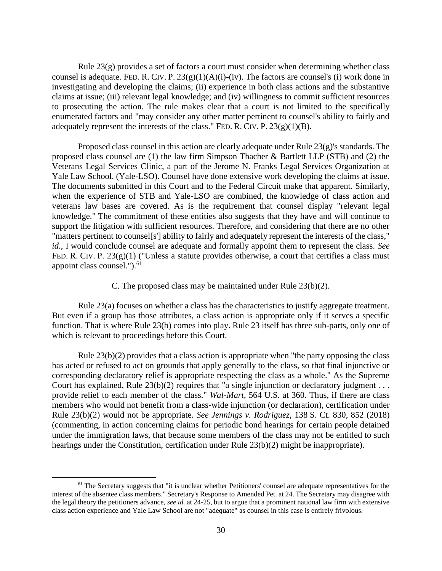Rule 23(g) provides a set of factors a court must consider when determining whether class counsel is adequate. FED. R. CIV. P.  $23(g)(1)(A)(i)$ -(iv). The factors are counsel's (i) work done in investigating and developing the claims; (ii) experience in both class actions and the substantive claims at issue; (iii) relevant legal knowledge; and (iv) willingness to commit sufficient resources to prosecuting the action. The rule makes clear that a court is not limited to the specifically enumerated factors and "may consider any other matter pertinent to counsel's ability to fairly and adequately represent the interests of the class." FED. R. CIV. P.  $23(g)(1)(B)$ .

Proposed class counsel in this action are clearly adequate under Rule 23(g)'s standards. The proposed class counsel are (1) the law firm Simpson Thacher & Bartlett LLP (STB) and (2) the Veterans Legal Services Clinic, a part of the Jerome N. Franks Legal Services Organization at Yale Law School. (Yale-LSO). Counsel have done extensive work developing the claims at issue. The documents submitted in this Court and to the Federal Circuit make that apparent. Similarly, when the experience of STB and Yale-LSO are combined, the knowledge of class action and veterans law bases are covered. As is the requirement that counsel display "relevant legal knowledge." The commitment of these entities also suggests that they have and will continue to support the litigation with sufficient resources. Therefore, and considering that there are no other "matters pertinent to counsel[s'] ability to fairly and adequately represent the interests of the class," *id*., I would conclude counsel are adequate and formally appoint them to represent the class. *See*  FED. R. CIV. P. 23(g)(1) ("Unless a statute provides otherwise, a court that certifies a class must appoint class counsel." $)$ .<sup>61</sup>

C. The proposed class may be maintained under Rule 23(b)(2).

Rule 23(a) focuses on whether a class has the characteristics to justify aggregate treatment. But even if a group has those attributes, a class action is appropriate only if it serves a specific function. That is where Rule 23(b) comes into play. Rule 23 itself has three sub-parts, only one of which is relevant to proceedings before this Court.

Rule 23(b)(2) provides that a class action is appropriate when "the party opposing the class has acted or refused to act on grounds that apply generally to the class, so that final injunctive or corresponding declaratory relief is appropriate respecting the class as a whole." As the Supreme Court has explained, Rule  $23(b)(2)$  requires that "a single injunction or declaratory judgment . . . provide relief to each member of the class." *Wal-Mart*, 564 U.S. at 360. Thus, if there are class members who would not benefit from a class-wide injunction (or declaration), certification under Rule 23(b)(2) would not be appropriate. *See Jennings v. Rodriguez*, 138 S. Ct. 830, 852 (2018) (commenting, in action concerning claims for periodic bond hearings for certain people detained under the immigration laws, that because some members of the class may not be entitled to such hearings under the Constitution, certification under Rule 23(b)(2) might be inappropriate).

 $<sup>61</sup>$  The Secretary suggests that "it is unclear whether Petitioners' counsel are adequate representatives for the</sup> interest of the absentee class members." Secretary's Response to Amended Pet. at 24. The Secretary may disagree with the legal theory the petitioners advance, *see id.* at 24-25, but to argue that a prominent national law firm with extensive class action experience and Yale Law School are not "adequate" as counsel in this case is entirely frivolous.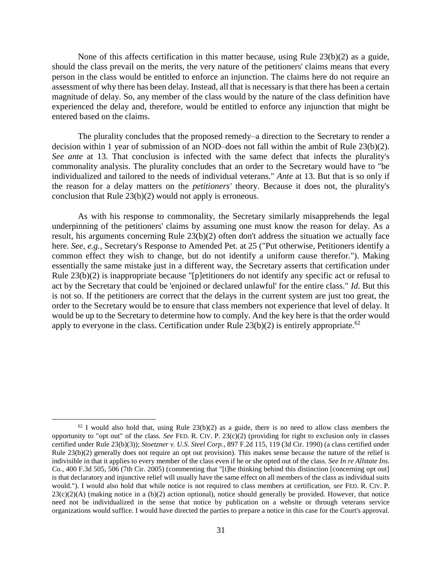None of this affects certification in this matter because, using Rule  $23(b)(2)$  as a guide, should the class prevail on the merits, the very nature of the petitioners' claims means that every person in the class would be entitled to enforce an injunction. The claims here do not require an assessment of why there has been delay. Instead, all that is necessary is that there has been a certain magnitude of delay. So, any member of the class would by the nature of the class definition have experienced the delay and, therefore, would be entitled to enforce any injunction that might be entered based on the claims.

The plurality concludes that the proposed remedy–a direction to the Secretary to render a decision within 1 year of submission of an NOD–does not fall within the ambit of Rule 23(b)(2). *See ante* at 13. That conclusion is infected with the same defect that infects the plurality's commonality analysis. The plurality concludes that an order to the Secretary would have to "be individualized and tailored to the needs of individual veterans." *Ante* at 13. But that is so only if the reason for a delay matters on the *petitioners'* theory. Because it does not, the plurality's conclusion that Rule 23(b)(2) would not apply is erroneous.

As with his response to commonality, the Secretary similarly misapprehends the legal underpinning of the petitioners' claims by assuming one must know the reason for delay. As a result, his arguments concerning Rule 23(b)(2) often don't address the situation we actually face here. *See, e.g.*, Secretary's Response to Amended Pet. at 25 ("Put otherwise, Petitioners identify a common effect they wish to change, but do not identify a uniform cause therefor."). Making essentially the same mistake just in a different way, the Secretary asserts that certification under Rule 23(b)(2) is inappropriate because "[p]etitioners do not identify any specific act or refusal to act by the Secretary that could be 'enjoined or declared unlawful' for the entire class." *Id*. But this is not so. If the petitioners are correct that the delays in the current system are just too great, the order to the Secretary would be to ensure that class members not experience that level of delay. It would be up to the Secretary to determine how to comply. And the key here is that the order would apply to everyone in the class. Certification under Rule  $23(b)(2)$  is entirely appropriate.<sup>62</sup>

 $62$  I would also hold that, using Rule  $23(b)(2)$  as a guide, there is no need to allow class members the opportunity to "opt out" of the class. *See* FED. R. CIV. P. 23(c)(2) (providing for right to exclusion only in classes certified under Rule 23(b)(3)); *Stoetzner v. U.S. Steel Corp.*, 897 F.2d 115, 119 (3d Cir. 1990) (a class certified under Rule 23(b)(2) generally does not require an opt out provision). This makes sense because the nature of the relief is indivisible in that it applies to every member of the class even if he or she opted out of the class. *See In re Allstate Ins. Co.*, 400 F.3d 505, 506 (7th Cir. 2005) (commenting that "[t]he thinking behind this distinction [concerning opt out] is that declaratory and injunctive relief will usually have the same effect on all members of the class as individual suits would."). I would also hold that while notice is not required to class members at certification, *see* FED. R. CIV. P.  $23(c)(2)(A)$  (making notice in a (b)(2) action optional), notice should generally be provided. However, that notice need not be individualized in the sense that notice by publication on a website or through veterans service organizations would suffice. I would have directed the parties to prepare a notice in this case for the Court's approval.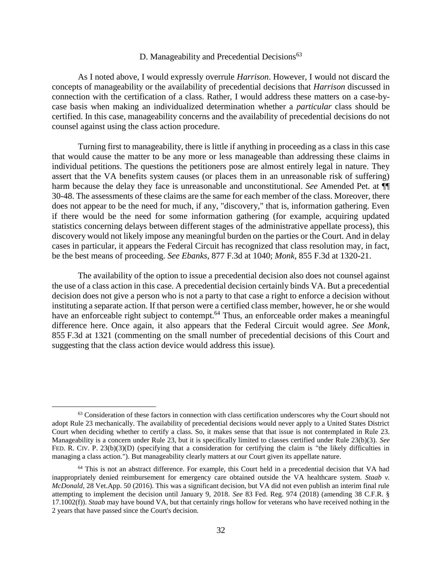# D. Manageability and Precedential Decisions<sup>63</sup>

As I noted above, I would expressly overrule *Harrison*. However, I would not discard the concepts of manageability or the availability of precedential decisions that *Harrison* discussed in connection with the certification of a class. Rather, I would address these matters on a case-bycase basis when making an individualized determination whether a *particular* class should be certified. In this case, manageability concerns and the availability of precedential decisions do not counsel against using the class action procedure.

Turning first to manageability, there is little if anything in proceeding as a class in this case that would cause the matter to be any more or less manageable than addressing these claims in individual petitions. The questions the petitioners pose are almost entirely legal in nature. They assert that the VA benefits system causes (or places them in an unreasonable risk of suffering) harm because the delay they face is unreasonable and unconstitutional. *See* Amended Pet. at ¶¶ 30-48. The assessments of these claims are the same for each member of the class. Moreover, there does not appear to be the need for much, if any, "discovery," that is, information gathering. Even if there would be the need for some information gathering (for example, acquiring updated statistics concerning delays between different stages of the administrative appellate process), this discovery would not likely impose any meaningful burden on the parties or the Court. And in delay cases in particular, it appears the Federal Circuit has recognized that class resolution may, in fact, be the best means of proceeding. *See Ebanks*, 877 F.3d at 1040; *Monk*, 855 F.3d at 1320-21.

The availability of the option to issue a precedential decision also does not counsel against the use of a class action in this case. A precedential decision certainly binds VA. But a precedential decision does not give a person who is not a party to that case a right to enforce a decision without instituting a separate action. If that person were a certified class member, however, he or she would have an enforceable right subject to contempt.<sup>64</sup> Thus, an enforceable order makes a meaningful difference here. Once again, it also appears that the Federal Circuit would agree. *See Monk*, 855 F.3d at 1321 (commenting on the small number of precedential decisions of this Court and suggesting that the class action device would address this issue).

<sup>&</sup>lt;sup>63</sup> Consideration of these factors in connection with class certification underscores why the Court should not adopt Rule 23 mechanically. The availability of precedential decisions would never apply to a United States District Court when deciding whether to certify a class. So, it makes sense that that issue is not contemplated in Rule 23. Manageability is a concern under Rule 23, but it is specifically limited to classes certified under Rule 23(b)(3). *See*  FED. R. CIV. P. 23(b)(3)(D) (specifying that a consideration for certifying the claim is "the likely difficulties in managing a class action."). But manageability clearly matters at our Court given its appellate nature.

<sup>&</sup>lt;sup>64</sup> This is not an abstract difference. For example, this Court held in a precedential decision that VA had inappropriately denied reimbursement for emergency care obtained outside the VA healthcare system. *Staab v. McDonald*, 28 Vet.App. 50 (2016). This was a significant decision, but VA did not even publish an interim final rule attempting to implement the decision until January 9, 2018. *See* 83 Fed. Reg. 974 (2018) (amending 38 C.F.R. § 17.1002(f)). *Staab* may have bound VA, but that certainly rings hollow for veterans who have received nothing in the 2 years that have passed since the Court's decision.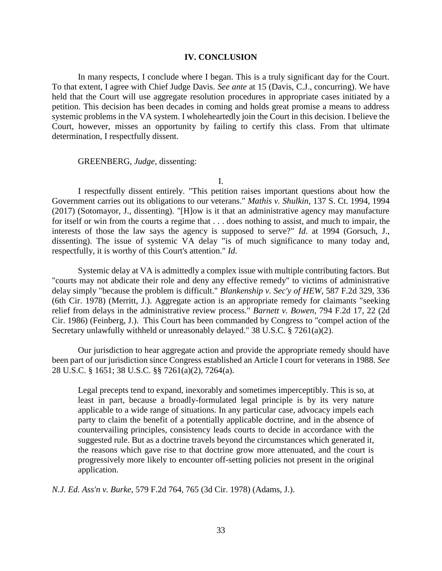#### **IV. CONCLUSION**

In many respects, I conclude where I began. This is a truly significant day for the Court. To that extent, I agree with Chief Judge Davis. *See ante* at 15 (Davis, C.J., concurring). We have held that the Court will use aggregate resolution procedures in appropriate cases initiated by a petition. This decision has been decades in coming and holds great promise a means to address systemic problems in the VA system. I wholeheartedly join the Court in this decision. I believe the Court, however, misses an opportunity by failing to certify this class. From that ultimate determination, I respectfully dissent.

#### GREENBERG, *Judge*, dissenting:

I.

I respectfully dissent entirely. "This petition raises important questions about how the Government carries out its obligations to our veterans." *Mathis v. Shulkin*, 137 S. Ct. 1994, 1994 (2017) (Sotomayor, J., dissenting). "[H]ow is it that an administrative agency may manufacture for itself or win from the courts a regime that . . . does nothing to assist, and much to impair, the interests of those the law says the agency is supposed to serve?" *Id*. at 1994 (Gorsuch, J., dissenting). The issue of systemic VA delay "is of much significance to many today and, respectfully, it is worthy of this Court's attention." *Id*.

Systemic delay at VA is admittedly a complex issue with multiple contributing factors. But "courts may not abdicate their role and deny any effective remedy" to victims of administrative delay simply "because the problem is difficult." *Blankenship v. Sec'y of HEW*, 587 F.2d 329, 336 (6th Cir. 1978) (Merritt, J.). Aggregate action is an appropriate remedy for claimants "seeking relief from delays in the administrative review process." *Barnett v. Bowen*, 794 F.2d 17, 22 (2d Cir. 1986) (Feinberg, J.). This Court has been commanded by Congress to "compel action of the Secretary unlawfully withheld or unreasonably delayed." 38 U.S.C. § 7261(a)(2).

Our jurisdiction to hear aggregate action and provide the appropriate remedy should have been part of our jurisdiction since Congress established an Article I court for veterans in 1988. *See* 28 U.S.C. § 1651; 38 U.S.C. §§ 7261(a)(2), 7264(a).

Legal precepts tend to expand, inexorably and sometimes imperceptibly. This is so, at least in part, because a broadly-formulated legal principle is by its very nature applicable to a wide range of situations. In any particular case, advocacy impels each party to claim the benefit of a potentially applicable doctrine, and in the absence of countervailing principles, consistency leads courts to decide in accordance with the suggested rule. But as a doctrine travels beyond the circumstances which generated it, the reasons which gave rise to that doctrine grow more attenuated, and the court is progressively more likely to encounter off-setting policies not present in the original application.

*N.J. Ed. Ass'n v. Burke*, 579 F.2d 764, 765 (3d Cir. 1978) (Adams, J.).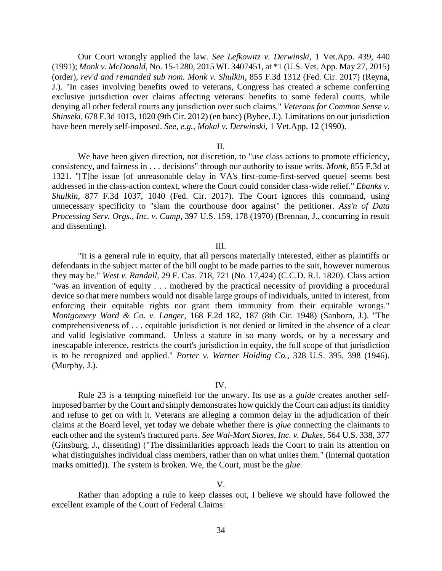Our Court wrongly applied the law. *See Lefkowitz v. Derwinski*, 1 Vet.App. 439, 440 (1991); *Monk v. McDonald*, No. 15-1280, 2015 WL 3407451, at \*1 (U.S. Vet. App. May 27, 2015) (order), *rev'd and remanded sub nom. Monk v. Shulkin*, 855 F.3d 1312 (Fed. Cir. 2017) (Reyna, J.). "In cases involving benefits owed to veterans, Congress has created a scheme conferring exclusive jurisdiction over claims affecting veterans' benefits to some federal courts, while denying all other federal courts any jurisdiction over such claims." *Veterans for Common Sense v. Shinseki,* 678 F.3d 1013, 1020 (9th Cir. 2012) (en banc) (Bybee, J.). Limitations on our jurisdiction have been merely self-imposed. *See, e.g.*, *Mokal v. Derwinski*, 1 Vet.App. 12 (1990).

#### II.

We have been given direction, not discretion, to "use class actions to promote efficiency, consistency, and fairness in . . . decisions" through our authority to issue writs. *Monk,* 855 F.3d at 1321. "[T]he issue [of unreasonable delay in VA's first-come-first-served queue] seems best addressed in the class-action context, where the Court could consider class-wide relief." *Ebanks v. Shulkin,* 877 F.3d 1037, 1040 (Fed. Cir. 2017). The Court ignores this command, using unnecessary specificity to "slam the courthouse door against" the petitioner. *Ass'n of Data Processing Serv. Orgs., Inc. v. Camp*, 397 U.S. 159, 178 (1970) (Brennan, J., concurring in result and dissenting).

### III.

"It is a general rule in equity, that all persons materially interested, either as plaintiffs or defendants in the subject matter of the bill ought to be made parties to the suit, however numerous they may be." *West v. Randall,* 29 F. Cas. 718, 721 (No. 17,424) (C.C.D. R.I. 1820). Class action "was an invention of equity . . . mothered by the practical necessity of providing a procedural device so that mere numbers would not disable large groups of individuals, united in interest, from enforcing their equitable rights nor grant them immunity from their equitable wrongs." *Montgomery Ward & Co. v. Langer,* 168 F.2d 182, 187 (8th Cir. 1948) (Sanborn, J.). "The comprehensiveness of . . . equitable jurisdiction is not denied or limited in the absence of a clear and valid legislative command. Unless a statute in so many words, or by a necessary and inescapable inference, restricts the court's jurisdiction in equity, the full scope of that jurisdiction is to be recognized and applied." *Porter v. Warner Holding Co.*, 328 U.S. 395, 398 (1946). (Murphy, J.).

#### IV.

Rule 23 is a tempting minefield for the unwary. Its use as a *guide* creates another selfimposed barrier by the Court and simply demonstrates how quickly the Court can adjust its timidity and refuse to get on with it. Veterans are alleging a common delay in the adjudication of their claims at the Board level, yet today we debate whether there is *glue* connecting the claimants to each other and the system's fractured parts. *See Wal-Mart Stores, Inc. v. Dukes*, 564 U.S. 338, 377 (Ginsburg, J., dissenting) ("The dissimilarities approach leads the Court to train its attention on what distinguishes individual class members, rather than on what unites them." (internal quotation marks omitted)). The system is broken. We, the Court, must be the *glue.*

#### V.

Rather than adopting a rule to keep classes out, I believe we should have followed the excellent example of the Court of Federal Claims: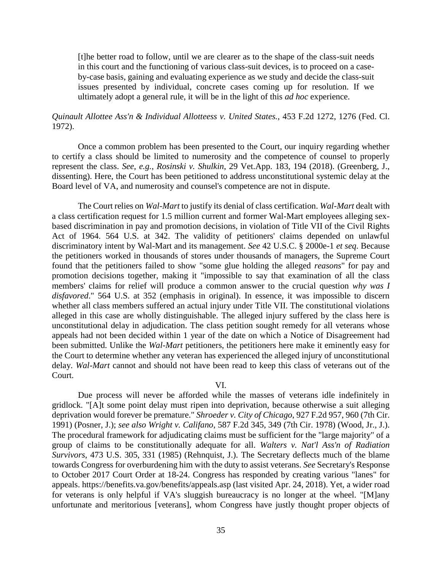[t]he better road to follow, until we are clearer as to the shape of the class-suit needs in this court and the functioning of various class-suit devices, is to proceed on a caseby-case basis, gaining and evaluating experience as we study and decide the class-suit issues presented by individual, concrete cases coming up for resolution. If we ultimately adopt a general rule, it will be in the light of this *ad hoc* experience.

# *Quinault Allottee Ass'n & Individual Allotteess v. United States.,* 453 F.2d 1272, 1276 (Fed. Cl. 1972).

Once a common problem has been presented to the Court, our inquiry regarding whether to certify a class should be limited to numerosity and the competence of counsel to properly represent the class. *See, e.g.*, *Rosinski v. Shulkin*, 29 Vet.App. 183, 194 (2018). (Greenberg, J., dissenting). Here, the Court has been petitioned to address unconstitutional systemic delay at the Board level of VA, and numerosity and counsel's competence are not in dispute.

The Court relies on *Wal-Mart* to justify its denial of class certification. *Wal-Mart* dealt with a class certification request for 1.5 million current and former Wal-Mart employees alleging sexbased discrimination in pay and promotion decisions, in violation of Title VII of the Civil Rights Act of 1964. 564 U.S. at 342. The validity of petitioners' claims depended on unlawful discriminatory intent by Wal-Mart and its management. *See* 42 U.S.C. § 2000e-1 *et seq*. Because the petitioners worked in thousands of stores under thousands of managers, the Supreme Court found that the petitioners failed to show "some glue holding the alleged *reasons*" for pay and promotion decisions together, making it "impossible to say that examination of all the class members' claims for relief will produce a common answer to the crucial question *why was I disfavored*." 564 U.S. at 352 (emphasis in original). In essence, it was impossible to discern whether all class members suffered an actual injury under Title VII. The constitutional violations alleged in this case are wholly distinguishable. The alleged injury suffered by the class here is unconstitutional delay in adjudication. The class petition sought remedy for all veterans whose appeals had not been decided within 1 year of the date on which a Notice of Disagreement had been submitted. Unlike the *Wal-Mart* petitioners, the petitioners here make it eminently easy for the Court to determine whether any veteran has experienced the alleged injury of unconstitutional delay. *Wal-Mart* cannot and should not have been read to keep this class of veterans out of the Court.

## VI.

Due process will never be afforded while the masses of veterans idle indefinitely in gridlock. "[A]t some point delay must ripen into deprivation, because otherwise a suit alleging deprivation would forever be premature." *Shroeder v. City of Chicago*, 927 F.2d 957, 960 (7th Cir. 1991) (Posner, J.); *see also Wright v. Califano*, 587 F.2d 345, 349 (7th Cir. 1978) (Wood, Jr., J.). The procedural framework for adjudicating claims must be sufficient for the "large majority" of a group of claims to be constitutionally adequate for all. *Walters v. Nat'l Ass'n of Radiation Survivors*, 473 U.S. 305, 331 (1985) (Rehnquist, J.). The Secretary deflects much of the blame towards Congress for overburdening him with the duty to assist veterans. *See* Secretary's Response to October 2017 Court Order at 18-24. Congress has responded by creating various "lanes" for appeals. https://benefits.va.gov/benefits/appeals.asp (last visited Apr. 24, 2018). Yet, a wider road for veterans is only helpful if VA's sluggish bureaucracy is no longer at the wheel. "[M]any unfortunate and meritorious [veterans], whom Congress have justly thought proper objects of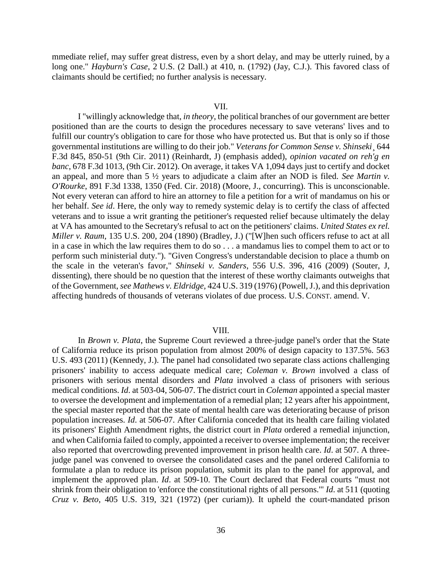mmediate relief, may suffer great distress, even by a short delay, and may be utterly ruined, by a long one." *Hayburn's Case*, 2 U.S. (2 Dall.) at 410, n. (1792) (Jay, C.J.). This favored class of claimants should be certified; no further analysis is necessary.

#### VII.

I "willingly acknowledge that, *in theory*, the political branches of our government are better positioned than are the courts to design the procedures necessary to save veterans' lives and to fulfill our country's obligation to care for those who have protected us. But that is only so if those governmental institutions are willing to do their job." *Veterans for Common Sense v. Shinseki*¸ 644 F.3d 845, 850-51 (9th Cir. 2011) (Reinhardt, J) (emphasis added), *opinion vacated on reh'g en banc*, 678 F.3d 1013, (9th Cir. 2012). On average, it takes VA 1,094 days just to certify and docket an appeal, and more than 5 ½ years to adjudicate a claim after an NOD is filed. *See Martin v. O'Rourke*, 891 F.3d 1338, 1350 (Fed. Cir. 2018) (Moore, J., concurring). This is unconscionable. Not every veteran can afford to hire an attorney to file a petition for a writ of mandamus on his or her behalf. *See id*. Here, the only way to remedy systemic delay is to certify the class of affected veterans and to issue a writ granting the petitioner's requested relief because ultimately the delay at VA has amounted to the Secretary's refusal to act on the petitioners' claims. *United States ex rel. Miller v. Raum*, 135 U.S. 200, 204 (1890) (Bradley, J.) ("[W]hen such officers refuse to act at all in a case in which the law requires them to do so . . . a mandamus lies to compel them to act or to perform such ministerial duty."). "Given Congress's understandable decision to place a thumb on the scale in the veteran's favor," *Shinseki v. Sanders*, 556 U.S. 396, 416 (2009) (Souter, J, dissenting), there should be no question that the interest of these worthy claimants outweighs that of the Government, *see Mathews v. Eldridge,* 424 U.S. 319 (1976) (Powell, J.), and this deprivation affecting hundreds of thousands of veterans violates of due process. U.S. CONST. amend. V.

#### VIII.

In *Brown v. Plata*, the Supreme Court reviewed a three-judge panel's order that the State of California reduce its prison population from almost 200% of design capacity to 137.5%. 563 U.S. 493 (2011) (Kennedy, J.). The panel had consolidated two separate class actions challenging prisoners' inability to access adequate medical care; *Coleman v. Brown* involved a class of prisoners with serious mental disorders and *Plata* involved a class of prisoners with serious medical conditions. *Id*. at 503-04, 506-07. The district court in *Coleman* appointed a special master to oversee the development and implementation of a remedial plan; 12 years after his appointment, the special master reported that the state of mental health care was deteriorating because of prison population increases. *Id*. at 506-07. After California conceded that its health care failing violated its prisoners' Eighth Amendment rights, the district court in *Plata* ordered a remedial injunction, and when California failed to comply, appointed a receiver to oversee implementation; the receiver also reported that overcrowding prevented improvement in prison health care. *Id*. at 507. A threejudge panel was convened to oversee the consolidated cases and the panel ordered California to formulate a plan to reduce its prison population, submit its plan to the panel for approval, and implement the approved plan. *Id*. at 509-10. The Court declared that Federal courts "must not shrink from their obligation to 'enforce the constitutional rights of all persons.'" *Id*. at 511 (quoting *Cruz v. Beto*, 405 U.S. 319, 321 (1972) (per curiam)). It upheld the court-mandated prison